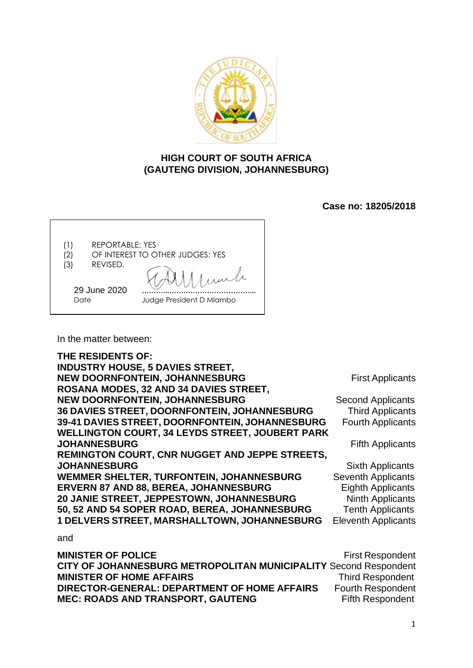

# **HIGH COURT OF SOUTH AFRICA (GAUTENG DIVISION, JOHANNESBURG)**

**Case no: 18205/2018**

| <b>REPORTABLE: YES</b><br>(1)<br>(2<br>REVISED.<br>(3) | OF INTEREST TO OTHER JUDGES: YES |
|--------------------------------------------------------|----------------------------------|
| 29 June 2020<br>Date                                   | Judge President D Mlambo         |

In the matter between:

**THE RESIDENTS OF: INDUSTRY HOUSE, 5 DAVIES STREET, NEW DOORNFONTEIN, JOHANNESBURG** First Applicants **ROSANA MODES, 32 AND 34 DAVIES STREET, NEW DOORNFONTEIN, JOHANNESBURG** Second Applicants **36 DAVIES STREET, DOORNFONTEIN, JOHANNESBURG** Third Applicants **39-41 DAVIES STREET, DOORNFONTEIN, JOHANNESBURG** Fourth Applicants **WELLINGTON COURT, 34 LEYDS STREET, JOUBERT PARK JOHANNESBURG Fifth Applicants REMINGTON COURT, CNR NUGGET AND JEPPE STREETS, JOHANNESBURG** Sixth Applicants<br> **WEMMER SHELTER, TURFONTEIN, JOHANNESBURG** Seventh Applicants WEMMER SHELTER, TURFONTEIN, JOHANNESBURG **ERVERN 87 AND 88, BEREA, JOHANNESBURG** Eighth Applicants **20 JANIE STREET, JEPPESTOWN, JOHANNESBURG** Ninth Applicants **50, 52 AND 54 SOPER ROAD, BEREA, JOHANNESBURG** Tenth Applicants **1 DELVERS STREET, MARSHALLTOWN, JOHANNESBURG** Eleventh Applicants and **MINISTER OF POLICE First Respondent** 

**CITY OF JOHANNESBURG METROPOLITAN MUNICIPALITY** Second Respondent **MINISTER OF HOME AFFAIRS** Third Respondent **DIRECTOR-GENERAL: DEPARTMENT OF HOME AFFAIRS** Fourth Respondent **MEC: ROADS AND TRANSPORT, GAUTENG Fifth Respondent** 

1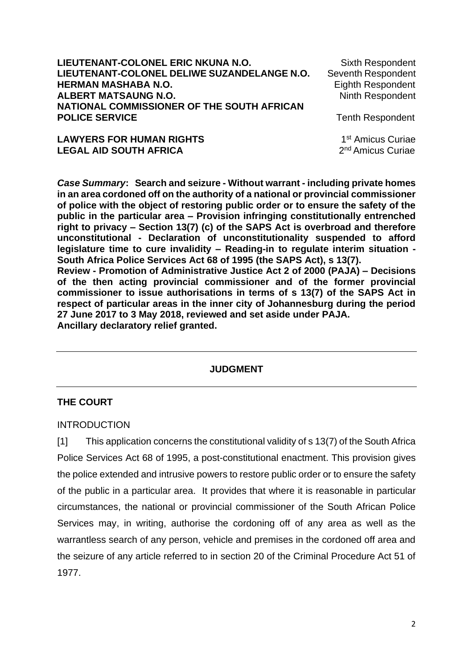| LIEUTENANT-COLONEL ERIC NKUNA N.O.<br>LIEUTENANT-COLONEL DELIWE SUZANDELANGE N.O. | Sixth Respondent<br>Seventh Respondent |
|-----------------------------------------------------------------------------------|----------------------------------------|
| <b>HERMAN MASHABA N.O.</b>                                                        | Eighth Respondent                      |
| <b>ALBERT MATSAUNG N.O.</b>                                                       | <b>Ninth Respondent</b>                |
| NATIONAL COMMISSIONER OF THE SOUTH AFRICAN                                        |                                        |
| <b>POLICE SERVICE</b>                                                             | <b>Tenth Respondent</b>                |
| <b>LAWYERS FOR HUMAN RIGHTS</b>                                                   | 1 <sup>st</sup> Amicus Curiae          |
| <b>LEGAL AID SOUTH AFRICA</b>                                                     | 2 <sup>nd</sup> Amicus Curiae          |

*Case Summary***: Search and seizure - Without warrant - including private homes in an area cordoned off on the authority of a national or provincial commissioner of police with the object of restoring public order or to ensure the safety of the public in the particular area – Provision infringing constitutionally entrenched right to privacy – Section 13(7) (c) of the SAPS Act is overbroad and therefore unconstitutional - Declaration of unconstitutionality suspended to afford legislature time to cure invalidity – Reading-in to regulate interim situation - South Africa Police Services Act 68 of 1995 (the SAPS Act), s 13(7). Review - Promotion of Administrative Justice Act 2 of 2000 (PAJA) – Decisions** 

**of the then acting provincial commissioner and of the former provincial commissioner to issue authorisations in terms of s 13(7) of the SAPS Act in respect of particular areas in the inner city of Johannesburg during the period 27 June 2017 to 3 May 2018, reviewed and set aside under PAJA. Ancillary declaratory relief granted.** 

## **JUDGMENT**

## **THE COURT**

#### INTRODUCTION

[1] This application concerns the constitutional validity of s 13(7) of the South Africa Police Services Act 68 of 1995, a post-constitutional enactment. This provision gives the police extended and intrusive powers to restore public order or to ensure the safety of the public in a particular area. It provides that where it is reasonable in particular circumstances, the national or provincial commissioner of the South African Police Services may, in writing, authorise the cordoning off of any area as well as the warrantless search of any person, vehicle and premises in the cordoned off area and the seizure of any article referred to in section 20 of the Criminal Procedure Act 51 of 1977.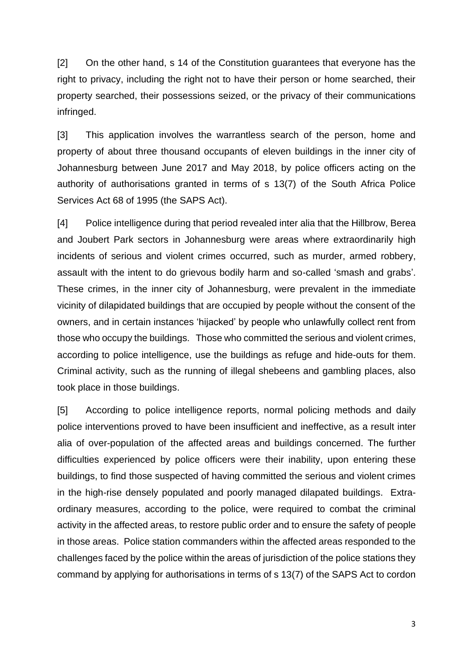[2] On the other hand, s 14 of the Constitution guarantees that everyone has the right to privacy, including the right not to have their person or home searched, their property searched, their possessions seized, or the privacy of their communications infringed.

[3] This application involves the warrantless search of the person, home and property of about three thousand occupants of eleven buildings in the inner city of Johannesburg between June 2017 and May 2018, by police officers acting on the authority of authorisations granted in terms of s 13(7) of the South Africa Police Services Act 68 of 1995 (the SAPS Act).

[4] Police intelligence during that period revealed inter alia that the Hillbrow, Berea and Joubert Park sectors in Johannesburg were areas where extraordinarily high incidents of serious and violent crimes occurred, such as murder, armed robbery, assault with the intent to do grievous bodily harm and so-called 'smash and grabs'. These crimes, in the inner city of Johannesburg, were prevalent in the immediate vicinity of dilapidated buildings that are occupied by people without the consent of the owners, and in certain instances 'hijacked' by people who unlawfully collect rent from those who occupy the buildings. Those who committed the serious and violent crimes, according to police intelligence, use the buildings as refuge and hide-outs for them. Criminal activity, such as the running of illegal shebeens and gambling places, also took place in those buildings.

[5] According to police intelligence reports, normal policing methods and daily police interventions proved to have been insufficient and ineffective, as a result inter alia of over-population of the affected areas and buildings concerned. The further difficulties experienced by police officers were their inability, upon entering these buildings, to find those suspected of having committed the serious and violent crimes in the high-rise densely populated and poorly managed dilapated buildings. Extraordinary measures, according to the police, were required to combat the criminal activity in the affected areas, to restore public order and to ensure the safety of people in those areas. Police station commanders within the affected areas responded to the challenges faced by the police within the areas of jurisdiction of the police stations they command by applying for authorisations in terms of s 13(7) of the SAPS Act to cordon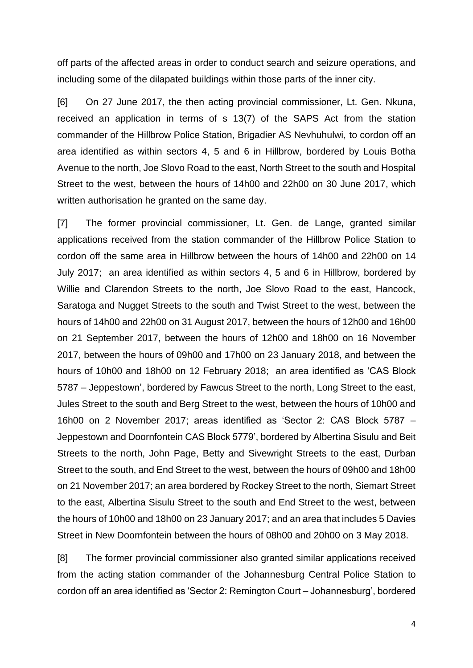off parts of the affected areas in order to conduct search and seizure operations, and including some of the dilapated buildings within those parts of the inner city.

[6] On 27 June 2017, the then acting provincial commissioner, Lt. Gen. Nkuna, received an application in terms of s 13(7) of the SAPS Act from the station commander of the Hillbrow Police Station, Brigadier AS Nevhuhulwi, to cordon off an area identified as within sectors 4, 5 and 6 in Hillbrow, bordered by Louis Botha Avenue to the north, Joe Slovo Road to the east, North Street to the south and Hospital Street to the west, between the hours of 14h00 and 22h00 on 30 June 2017, which written authorisation he granted on the same day.

[7] The former provincial commissioner, Lt. Gen. de Lange, granted similar applications received from the station commander of the Hillbrow Police Station to cordon off the same area in Hillbrow between the hours of 14h00 and 22h00 on 14 July 2017; an area identified as within sectors 4, 5 and 6 in Hillbrow, bordered by Willie and Clarendon Streets to the north, Joe Slovo Road to the east, Hancock, Saratoga and Nugget Streets to the south and Twist Street to the west, between the hours of 14h00 and 22h00 on 31 August 2017, between the hours of 12h00 and 16h00 on 21 September 2017, between the hours of 12h00 and 18h00 on 16 November 2017, between the hours of 09h00 and 17h00 on 23 January 2018, and between the hours of 10h00 and 18h00 on 12 February 2018; an area identified as 'CAS Block 5787 – Jeppestown', bordered by Fawcus Street to the north, Long Street to the east, Jules Street to the south and Berg Street to the west, between the hours of 10h00 and 16h00 on 2 November 2017; areas identified as 'Sector 2: CAS Block 5787 – Jeppestown and Doornfontein CAS Block 5779', bordered by Albertina Sisulu and Beit Streets to the north, John Page, Betty and Sivewright Streets to the east, Durban Street to the south, and End Street to the west, between the hours of 09h00 and 18h00 on 21 November 2017; an area bordered by Rockey Street to the north, Siemart Street to the east, Albertina Sisulu Street to the south and End Street to the west, between the hours of 10h00 and 18h00 on 23 January 2017; and an area that includes 5 Davies Street in New Doornfontein between the hours of 08h00 and 20h00 on 3 May 2018.

[8] The former provincial commissioner also granted similar applications received from the acting station commander of the Johannesburg Central Police Station to cordon off an area identified as 'Sector 2: Remington Court – Johannesburg', bordered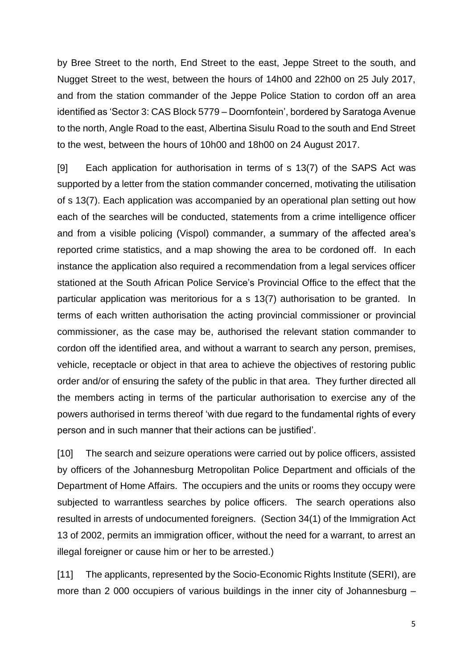by Bree Street to the north, End Street to the east, Jeppe Street to the south, and Nugget Street to the west, between the hours of 14h00 and 22h00 on 25 July 2017, and from the station commander of the Jeppe Police Station to cordon off an area identified as 'Sector 3: CAS Block 5779 – Doornfontein', bordered by Saratoga Avenue to the north, Angle Road to the east, Albertina Sisulu Road to the south and End Street to the west, between the hours of 10h00 and 18h00 on 24 August 2017.

[9] Each application for authorisation in terms of s 13(7) of the SAPS Act was supported by a letter from the station commander concerned, motivating the utilisation of s 13(7). Each application was accompanied by an operational plan setting out how each of the searches will be conducted, statements from a crime intelligence officer and from a visible policing (Vispol) commander, a summary of the affected area's reported crime statistics, and a map showing the area to be cordoned off. In each instance the application also required a recommendation from a legal services officer stationed at the South African Police Service's Provincial Office to the effect that the particular application was meritorious for a s 13(7) authorisation to be granted. In terms of each written authorisation the acting provincial commissioner or provincial commissioner, as the case may be, authorised the relevant station commander to cordon off the identified area, and without a warrant to search any person, premises, vehicle, receptacle or object in that area to achieve the objectives of restoring public order and/or of ensuring the safety of the public in that area. They further directed all the members acting in terms of the particular authorisation to exercise any of the powers authorised in terms thereof 'with due regard to the fundamental rights of every person and in such manner that their actions can be justified'.

[10] The search and seizure operations were carried out by police officers, assisted by officers of the Johannesburg Metropolitan Police Department and officials of the Department of Home Affairs. The occupiers and the units or rooms they occupy were subjected to warrantless searches by police officers. The search operations also resulted in arrests of undocumented foreigners. (Section 34(1) of the Immigration Act 13 of 2002, permits an immigration officer, without the need for a warrant, to arrest an illegal foreigner or cause him or her to be arrested.)

[11] The applicants, represented by the Socio-Economic Rights Institute (SERI), are more than 2 000 occupiers of various buildings in the inner city of Johannesburg –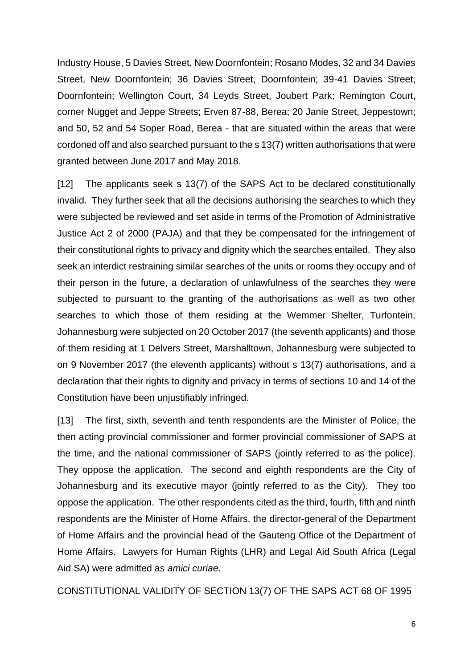Industry House, 5 Davies Street, New Doornfontein; Rosano Modes, 32 and 34 Davies Street, New Doornfontein; 36 Davies Street, Doornfontein; 39-41 Davies Street, Doornfontein; Wellington Court, 34 Leyds Street, Joubert Park; Remington Court, corner Nugget and Jeppe Streets; Erven 87-88, Berea; 20 Janie Street, Jeppestown; and 50, 52 and 54 Soper Road, Berea - that are situated within the areas that were cordoned off and also searched pursuant to the s 13(7) written authorisations that were granted between June 2017 and May 2018.

[12] The applicants seek s 13(7) of the SAPS Act to be declared constitutionally invalid. They further seek that all the decisions authorising the searches to which they were subjected be reviewed and set aside in terms of the Promotion of Administrative Justice Act 2 of 2000 (PAJA) and that they be compensated for the infringement of their constitutional rights to privacy and dignity which the searches entailed. They also seek an interdict restraining similar searches of the units or rooms they occupy and of their person in the future, a declaration of unlawfulness of the searches they were subjected to pursuant to the granting of the authorisations as well as two other searches to which those of them residing at the Wemmer Shelter, Turfontein, Johannesburg were subjected on 20 October 2017 (the seventh applicants) and those of them residing at 1 Delvers Street, Marshalltown, Johannesburg were subjected to on 9 November 2017 (the eleventh applicants) without s 13(7) authorisations, and a declaration that their rights to dignity and privacy in terms of sections 10 and 14 of the Constitution have been unjustifiably infringed.

[13] The first, sixth, seventh and tenth respondents are the Minister of Police, the then acting provincial commissioner and former provincial commissioner of SAPS at the time, and the national commissioner of SAPS (jointly referred to as the police). They oppose the application. The second and eighth respondents are the City of Johannesburg and its executive mayor (jointly referred to as the City). They too oppose the application. The other respondents cited as the third, fourth, fifth and ninth respondents are the Minister of Home Affairs, the director-general of the Department of Home Affairs and the provincial head of the Gauteng Office of the Department of Home Affairs. Lawyers for Human Rights (LHR) and Legal Aid South Africa (Legal Aid SA) were admitted as *amici curiae*.

CONSTITUTIONAL VALIDITY OF SECTION 13(7) OF THE SAPS ACT 68 OF 1995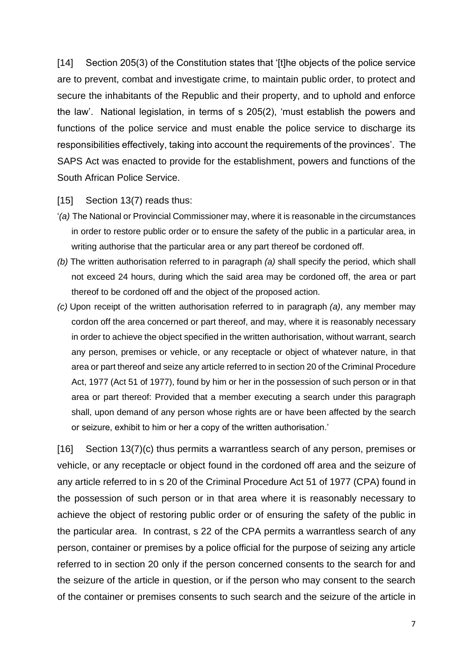[14] Section 205(3) of the Constitution states that '[t]he objects of the police service are to prevent, combat and investigate crime, to maintain public order, to protect and secure the inhabitants of the Republic and their property, and to uphold and enforce the law'. National legislation, in terms of s 205(2), 'must establish the powers and functions of the police service and must enable the police service to discharge its responsibilities effectively, taking into account the requirements of the provinces'. The SAPS Act was enacted to provide for the establishment, powers and functions of the South African Police Service.

#### [15] Section 13(7) reads thus:

- '*(a)* The National or Provincial Commissioner may, where it is reasonable in the circumstances in order to restore public order or to ensure the safety of the public in a particular area, in writing authorise that the particular area or any part thereof be cordoned off.
- *(b)* The written authorisation referred to in paragraph *(a)* shall specify the period, which shall not exceed 24 hours, during which the said area may be cordoned off, the area or part thereof to be cordoned off and the object of the proposed action.
- *(c)* Upon receipt of the written authorisation referred to in paragraph *(a)*, any member may cordon off the area concerned or part thereof, and may, where it is reasonably necessary in order to achieve the object specified in the written authorisation, without warrant, search any person, premises or vehicle, or any receptacle or object of whatever nature, in that area or part thereof and seize any article referred to in section 20 of the Criminal Procedure Act, 1977 (Act 51 of 1977), found by him or her in the possession of such person or in that area or part thereof: Provided that a member executing a search under this paragraph shall, upon demand of any person whose rights are or have been affected by the search or seizure, exhibit to him or her a copy of the written authorisation.'

[16] Section 13(7)(c) thus permits a warrantless search of any person, premises or vehicle, or any receptacle or object found in the cordoned off area and the seizure of any article referred to in s 20 of the Criminal Procedure Act 51 of 1977 (CPA) found in the possession of such person or in that area where it is reasonably necessary to achieve the object of restoring public order or of ensuring the safety of the public in the particular area. In contrast, s 22 of the CPA permits a warrantless search of any person, container or premises by a police official for the purpose of seizing any article referred to in section 20 only if the person concerned consents to the search for and the seizure of the article in question, or if the person who may consent to the search of the container or premises consents to such search and the seizure of the article in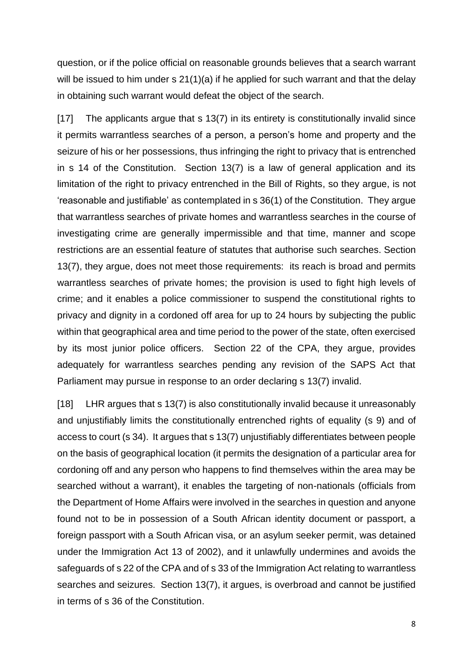question, or if the police official on reasonable grounds believes that a search warrant will be issued to him under s 21(1)(a) if he applied for such warrant and that the delay in obtaining such warrant would defeat the object of the search.

[17] The applicants argue that s 13(7) in its entirety is constitutionally invalid since it permits warrantless searches of a person, a person's home and property and the seizure of his or her possessions, thus infringing the right to privacy that is entrenched in s 14 of the Constitution. Section 13(7) is a law of general application and its limitation of the right to privacy entrenched in the Bill of Rights, so they argue, is not 'reasonable and justifiable' as contemplated in s 36(1) of the Constitution. They argue that warrantless searches of private homes and warrantless searches in the course of investigating crime are generally impermissible and that time, manner and scope restrictions are an essential feature of statutes that authorise such searches. Section 13(7), they argue, does not meet those requirements: its reach is broad and permits warrantless searches of private homes; the provision is used to fight high levels of crime; and it enables a police commissioner to suspend the constitutional rights to privacy and dignity in a cordoned off area for up to 24 hours by subjecting the public within that geographical area and time period to the power of the state, often exercised by its most junior police officers. Section 22 of the CPA, they argue, provides adequately for warrantless searches pending any revision of the SAPS Act that Parliament may pursue in response to an order declaring s 13(7) invalid.

[18] LHR argues that s 13(7) is also constitutionally invalid because it unreasonably and unjustifiably limits the constitutionally entrenched rights of equality (s 9) and of access to court (s 34). It argues that s 13(7) unjustifiably differentiates between people on the basis of geographical location (it permits the designation of a particular area for cordoning off and any person who happens to find themselves within the area may be searched without a warrant), it enables the targeting of non-nationals (officials from the Department of Home Affairs were involved in the searches in question and anyone found not to be in possession of a South African identity document or passport, a foreign passport with a South African visa, or an asylum seeker permit, was detained under the Immigration Act 13 of 2002), and it unlawfully undermines and avoids the safeguards of s 22 of the CPA and of s 33 of the Immigration Act relating to warrantless searches and seizures. Section 13(7), it argues, is overbroad and cannot be justified in terms of s 36 of the Constitution.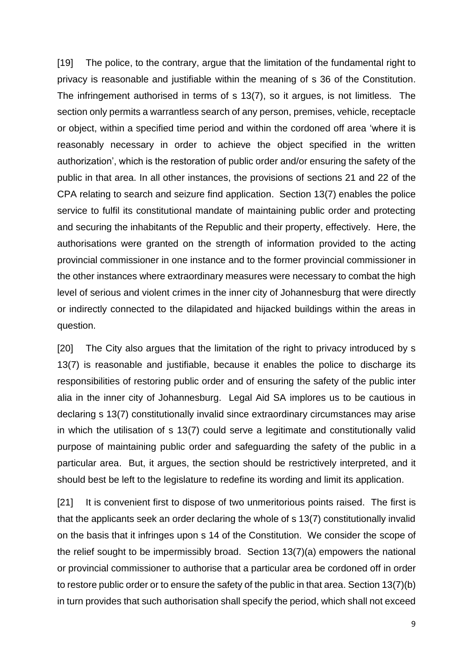[19] The police, to the contrary, argue that the limitation of the fundamental right to privacy is reasonable and justifiable within the meaning of s 36 of the Constitution. The infringement authorised in terms of s 13(7), so it argues, is not limitless. The section only permits a warrantless search of any person, premises, vehicle, receptacle or object, within a specified time period and within the cordoned off area 'where it is reasonably necessary in order to achieve the object specified in the written authorization', which is the restoration of public order and/or ensuring the safety of the public in that area. In all other instances, the provisions of sections 21 and 22 of the CPA relating to search and seizure find application. Section 13(7) enables the police service to fulfil its constitutional mandate of maintaining public order and protecting and securing the inhabitants of the Republic and their property, effectively. Here, the authorisations were granted on the strength of information provided to the acting provincial commissioner in one instance and to the former provincial commissioner in the other instances where extraordinary measures were necessary to combat the high level of serious and violent crimes in the inner city of Johannesburg that were directly or indirectly connected to the dilapidated and hijacked buildings within the areas in question.

[20] The City also argues that the limitation of the right to privacy introduced by s 13(7) is reasonable and justifiable, because it enables the police to discharge its responsibilities of restoring public order and of ensuring the safety of the public inter alia in the inner city of Johannesburg. Legal Aid SA implores us to be cautious in declaring s 13(7) constitutionally invalid since extraordinary circumstances may arise in which the utilisation of s 13(7) could serve a legitimate and constitutionally valid purpose of maintaining public order and safeguarding the safety of the public in a particular area. But, it argues, the section should be restrictively interpreted, and it should best be left to the legislature to redefine its wording and limit its application.

[21] It is convenient first to dispose of two unmeritorious points raised. The first is that the applicants seek an order declaring the whole of s 13(7) constitutionally invalid on the basis that it infringes upon s 14 of the Constitution. We consider the scope of the relief sought to be impermissibly broad. Section 13(7)(a) empowers the national or provincial commissioner to authorise that a particular area be cordoned off in order to restore public order or to ensure the safety of the public in that area. Section 13(7)(b) in turn provides that such authorisation shall specify the period, which shall not exceed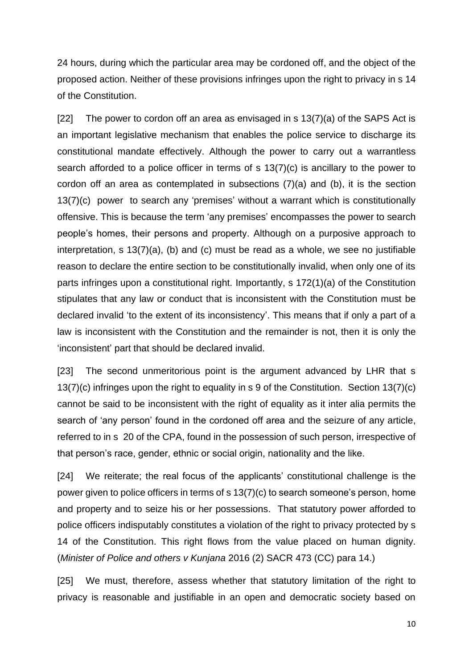24 hours, during which the particular area may be cordoned off, and the object of the proposed action. Neither of these provisions infringes upon the right to privacy in s 14 of the Constitution.

[22] The power to cordon off an area as envisaged in s  $13(7)(a)$  of the SAPS Act is an important legislative mechanism that enables the police service to discharge its constitutional mandate effectively. Although the power to carry out a warrantless search afforded to a police officer in terms of s 13(7)(c) is ancillary to the power to cordon off an area as contemplated in subsections (7)(a) and (b), it is the section 13(7)(c) power to search any 'premises' without a warrant which is constitutionally offensive. This is because the term 'any premises' encompasses the power to search people's homes, their persons and property. Although on a purposive approach to interpretation, s 13(7)(a), (b) and (c) must be read as a whole, we see no justifiable reason to declare the entire section to be constitutionally invalid, when only one of its parts infringes upon a constitutional right. Importantly, s 172(1)(a) of the Constitution stipulates that any law or conduct that is inconsistent with the Constitution must be declared invalid 'to the extent of its inconsistency'. This means that if only a part of a law is inconsistent with the Constitution and the remainder is not, then it is only the 'inconsistent' part that should be declared invalid.

[23] The second unmeritorious point is the argument advanced by LHR that s 13(7)(c) infringes upon the right to equality in s 9 of the Constitution. Section 13(7)(c) cannot be said to be inconsistent with the right of equality as it inter alia permits the search of 'any person' found in the cordoned off area and the seizure of any article, referred to in s 20 of the CPA, found in the possession of such person, irrespective of that person's race, gender, ethnic or social origin, nationality and the like.

[24] We reiterate; the real focus of the applicants' constitutional challenge is the power given to police officers in terms of s 13(7)(c) to search someone's person, home and property and to seize his or her possessions. That statutory power afforded to police officers indisputably constitutes a violation of the right to privacy protected by s 14 of the Constitution. This right flows from the value placed on human dignity. (*Minister of Police and others v Kunjana* 2016 (2) SACR 473 (CC) para 14.)

[25] We must, therefore, assess whether that statutory limitation of the right to privacy is reasonable and justifiable in an open and democratic society based on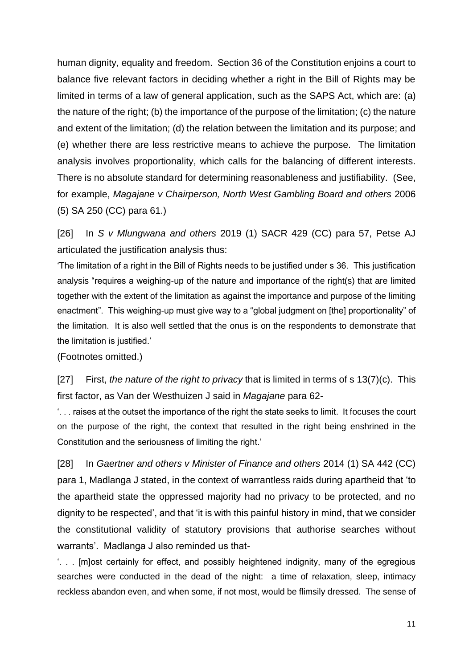human dignity, equality and freedom. Section 36 of the Constitution enjoins a court to balance five relevant factors in deciding whether a right in the Bill of Rights may be limited in terms of a law of general application, such as the SAPS Act, which are: (a) the nature of the right; (b) the importance of the purpose of the limitation; (c) the nature and extent of the limitation; (d) the relation between the limitation and its purpose; and (e) whether there are less restrictive means to achieve the purpose. The limitation analysis involves proportionality, which calls for the balancing of different interests. There is no absolute standard for determining reasonableness and justifiability. (See, for example, *Magajane v Chairperson, North West Gambling Board and others* 2006 (5) SA 250 (CC) para 61.)

[26] In *S v Mlungwana and others* 2019 (1) SACR 429 (CC) para 57, Petse AJ articulated the justification analysis thus:

'The limitation of a right in the Bill of Rights needs to be justified under s 36. This justification analysis "requires a weighing-up of the nature and importance of the right(s) that are limited together with the extent of the limitation as against the importance and purpose of the limiting enactment". This weighing-up must give way to a "global judgment on [the] proportionality" of the limitation. It is also well settled that the onus is on the respondents to demonstrate that the limitation is justified.'

(Footnotes omitted.)

[27] First, *the nature of the right to privacy* that is limited in terms of s 13(7)(c). This first factor, as Van der Westhuizen J said in *Magajane* para 62-

'. . . raises at the outset the importance of the right the state seeks to limit. It focuses the court on the purpose of the right, the context that resulted in the right being enshrined in the Constitution and the seriousness of limiting the right.'

[28] In *Gaertner and others v Minister of Finance and others* 2014 (1) SA 442 (CC) para 1, Madlanga J stated, in the context of warrantless raids during apartheid that 'to the apartheid state the oppressed majority had no privacy to be protected, and no dignity to be respected', and that 'it is with this painful history in mind, that we consider the constitutional validity of statutory provisions that authorise searches without warrants'. Madlanga J also reminded us that-

'. . . [m]ost certainly for effect, and possibly heightened indignity, many of the egregious searches were conducted in the dead of the night: a time of relaxation, sleep, intimacy reckless abandon even, and when some, if not most, would be flimsily dressed. The sense of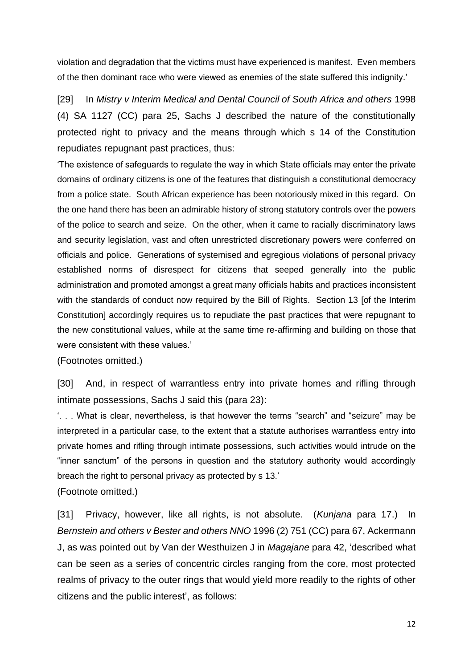violation and degradation that the victims must have experienced is manifest. Even members of the then dominant race who were viewed as enemies of the state suffered this indignity.'

[29] In *Mistry v Interim Medical and Dental Council of South Africa and others* 1998 (4) SA 1127 (CC) para 25, Sachs J described the nature of the constitutionally protected right to privacy and the means through which s 14 of the Constitution repudiates repugnant past practices, thus:

'The existence of safeguards to regulate the way in which State officials may enter the private domains of ordinary citizens is one of the features that distinguish a constitutional democracy from a police state. South African experience has been notoriously mixed in this regard. On the one hand there has been an admirable history of strong statutory controls over the powers of the police to search and seize. On the other, when it came to racially discriminatory laws and security legislation, vast and often unrestricted discretionary powers were conferred on officials and police. Generations of systemised and egregious violations of personal privacy established norms of disrespect for citizens that seeped generally into the public administration and promoted amongst a great many officials habits and practices inconsistent with the standards of conduct now required by the Bill of Rights. Section 13 [of the Interim Constitution] accordingly requires us to repudiate the past practices that were repugnant to the new constitutional values, while at the same time re-affirming and building on those that were consistent with these values.'

(Footnotes omitted.)

[30] And, in respect of warrantless entry into private homes and rifling through intimate possessions, Sachs J said this (para 23):

'. . . What is clear, nevertheless, is that however the terms "search" and "seizure" may be interpreted in a particular case, to the extent that a statute authorises warrantless entry into private homes and rifling through intimate possessions, such activities would intrude on the "inner sanctum" of the persons in question and the statutory authority would accordingly breach the right to personal privacy as protected by s 13.'

(Footnote omitted.)

[31] Privacy, however, like all rights, is not absolute. (*Kunjana* para 17.) In *Bernstein and others v Bester and others NNO* 1996 (2) 751 (CC) para 67, Ackermann J, as was pointed out by Van der Westhuizen J in *Magajane* para 42, 'described what can be seen as a series of concentric circles ranging from the core, most protected realms of privacy to the outer rings that would yield more readily to the rights of other citizens and the public interest', as follows: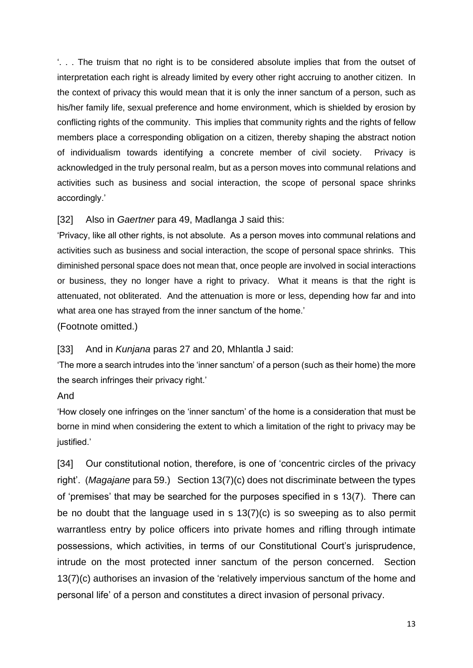'. . . The truism that no right is to be considered absolute implies that from the outset of interpretation each right is already limited by every other right accruing to another citizen. In the context of privacy this would mean that it is only the inner sanctum of a person, such as his/her family life, sexual preference and home environment, which is shielded by erosion by conflicting rights of the community. This implies that community rights and the rights of fellow members place a corresponding obligation on a citizen, thereby shaping the abstract notion of individualism towards identifying a concrete member of civil society. Privacy is acknowledged in the truly personal realm, but as a person moves into communal relations and activities such as business and social interaction, the scope of personal space shrinks accordingly.'

## [32] Also in *Gaertner* para 49, Madlanga J said this:

'Privacy, like all other rights, is not absolute. As a person moves into communal relations and activities such as business and social interaction, the scope of personal space shrinks. This diminished personal space does not mean that, once people are involved in social interactions or business, they no longer have a right to privacy. What it means is that the right is attenuated, not obliterated. And the attenuation is more or less, depending how far and into what area one has strayed from the inner sanctum of the home.'

(Footnote omitted.)

# [33] And in *Kunjana* paras 27 and 20, Mhlantla J said:

'The more a search intrudes into the 'inner sanctum' of a person (such as their home) the more the search infringes their privacy right.'

# And

'How closely one infringes on the 'inner sanctum' of the home is a consideration that must be borne in mind when considering the extent to which a limitation of the right to privacy may be justified.'

[34] Our constitutional notion, therefore, is one of 'concentric circles of the privacy right'. (*Magajane* para 59.) Section 13(7)(c) does not discriminate between the types of 'premises' that may be searched for the purposes specified in s 13(7). There can be no doubt that the language used in s 13(7)(c) is so sweeping as to also permit warrantless entry by police officers into private homes and rifling through intimate possessions, which activities, in terms of our Constitutional Court's jurisprudence, intrude on the most protected inner sanctum of the person concerned. Section 13(7)(c) authorises an invasion of the 'relatively impervious sanctum of the home and personal life' of a person and constitutes a direct invasion of personal privacy.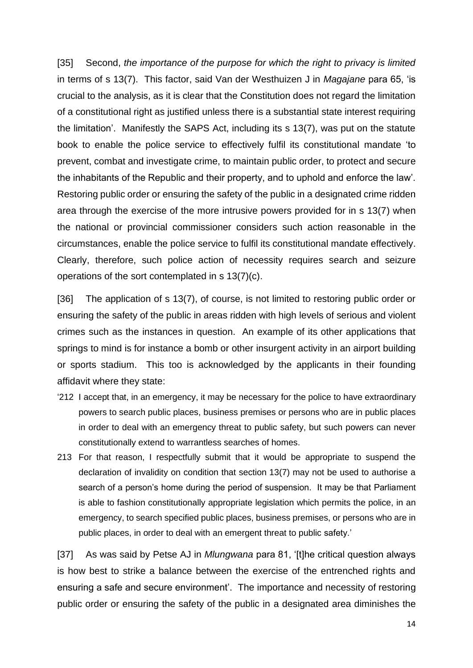[35] Second, *the importance of the purpose for which the right to privacy is limited*  in terms of s 13(7). This factor, said Van der Westhuizen J in *Magajane* para 65, 'is crucial to the analysis, as it is clear that the Constitution does not regard the limitation of a constitutional right as justified unless there is a substantial state interest requiring the limitation'. Manifestly the SAPS Act, including its s 13(7), was put on the statute book to enable the police service to effectively fulfil its constitutional mandate 'to prevent, combat and investigate crime, to maintain public order, to protect and secure the inhabitants of the Republic and their property, and to uphold and enforce the law'. Restoring public order or ensuring the safety of the public in a designated crime ridden area through the exercise of the more intrusive powers provided for in s 13(7) when the national or provincial commissioner considers such action reasonable in the circumstances, enable the police service to fulfil its constitutional mandate effectively. Clearly, therefore, such police action of necessity requires search and seizure operations of the sort contemplated in s 13(7)(c).

[36] The application of s 13(7), of course, is not limited to restoring public order or ensuring the safety of the public in areas ridden with high levels of serious and violent crimes such as the instances in question. An example of its other applications that springs to mind is for instance a bomb or other insurgent activity in an airport building or sports stadium. This too is acknowledged by the applicants in their founding affidavit where they state:

- '212 I accept that, in an emergency, it may be necessary for the police to have extraordinary powers to search public places, business premises or persons who are in public places in order to deal with an emergency threat to public safety, but such powers can never constitutionally extend to warrantless searches of homes.
- 213 For that reason, I respectfully submit that it would be appropriate to suspend the declaration of invalidity on condition that section 13(7) may not be used to authorise a search of a person's home during the period of suspension. It may be that Parliament is able to fashion constitutionally appropriate legislation which permits the police, in an emergency, to search specified public places, business premises, or persons who are in public places, in order to deal with an emergent threat to public safety.'

[37] As was said by Petse AJ in *Mlungwana* para 81, '[t]he critical question always is how best to strike a balance between the exercise of the entrenched rights and ensuring a safe and secure environment'. The importance and necessity of restoring public order or ensuring the safety of the public in a designated area diminishes the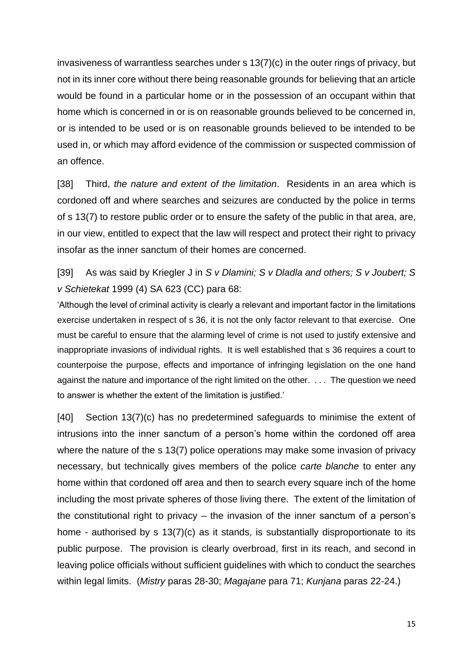invasiveness of warrantless searches under s 13(7)(c) in the outer rings of privacy, but not in its inner core without there being reasonable grounds for believing that an article would be found in a particular home or in the possession of an occupant within that home which is concerned in or is on reasonable grounds believed to be concerned in, or is intended to be used or is on reasonable grounds believed to be intended to be used in, or which may afford evidence of the commission or suspected commission of an offence.

[38] Third, *the nature and extent of the limitation*. Residents in an area which is cordoned off and where searches and seizures are conducted by the police in terms of s 13(7) to restore public order or to ensure the safety of the public in that area, are, in our view, entitled to expect that the law will respect and protect their right to privacy insofar as the inner sanctum of their homes are concerned.

[39] As was said by Kriegler J in *S v Dlamini; S v Dladla and others; S v Joubert; S v Schietekat* 1999 (4) SA 623 (CC) para 68:

'Although the level of criminal activity is clearly a relevant and important factor in the limitations exercise undertaken in respect of s 36, it is not the only factor relevant to that exercise. One must be careful to ensure that the alarming level of crime is not used to justify extensive and inappropriate invasions of individual rights. It is well established that s 36 requires a court to counterpoise the purpose, effects and importance of infringing legislation on the one hand against the nature and importance of the right limited on the other. . . . The question we need to answer is whether the extent of the limitation is justified.'

[40] Section 13(7)(c) has no predetermined safeguards to minimise the extent of intrusions into the inner sanctum of a person's home within the cordoned off area where the nature of the s 13(7) police operations may make some invasion of privacy necessary, but technically gives members of the police *carte blanche* to enter any home within that cordoned off area and then to search every square inch of the home including the most private spheres of those living there. The extent of the limitation of the constitutional right to privacy – the invasion of the inner sanctum of a person's home - authorised by s 13(7)(c) as it stands, is substantially disproportionate to its public purpose. The provision is clearly overbroad, first in its reach, and second in leaving police officials without sufficient guidelines with which to conduct the searches within legal limits. (*Mistry* paras 28-30; *Magajane* para 71; *Kunjana* paras 22-24.)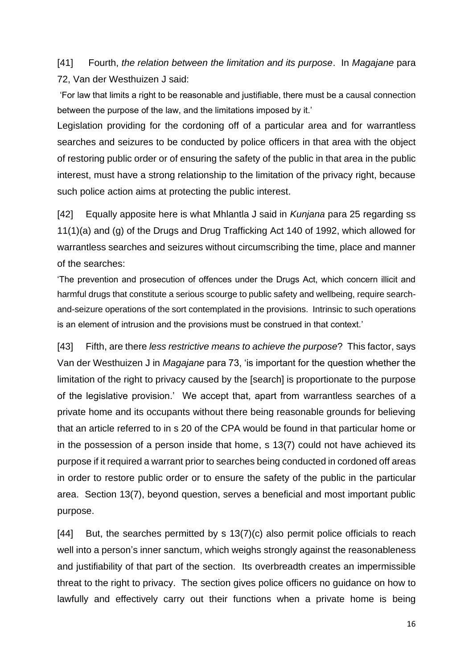[41] Fourth, *the relation between the limitation and its purpose*. In *Magajane* para 72, Van der Westhuizen J said:

'For law that limits a right to be reasonable and justifiable, there must be a causal connection between the purpose of the law, and the limitations imposed by it.'

Legislation providing for the cordoning off of a particular area and for warrantless searches and seizures to be conducted by police officers in that area with the object of restoring public order or of ensuring the safety of the public in that area in the public interest, must have a strong relationship to the limitation of the privacy right, because such police action aims at protecting the public interest.

[42] Equally apposite here is what Mhlantla J said in *Kunjana* para 25 regarding ss 11(1)(a) and (g) of the Drugs and Drug Trafficking Act 140 of 1992, which allowed for warrantless searches and seizures without circumscribing the time, place and manner of the searches:

'The prevention and prosecution of offences under the Drugs Act, which concern illicit and harmful drugs that constitute a serious scourge to public safety and wellbeing, require searchand-seizure operations of the sort contemplated in the provisions. Intrinsic to such operations is an element of intrusion and the provisions must be construed in that context.'

[43] Fifth, are there *less restrictive means to achieve the purpose*? This factor, says Van der Westhuizen J in *Magajane* para 73, 'is important for the question whether the limitation of the right to privacy caused by the [search] is proportionate to the purpose of the legislative provision.' We accept that, apart from warrantless searches of a private home and its occupants without there being reasonable grounds for believing that an article referred to in s 20 of the CPA would be found in that particular home or in the possession of a person inside that home, s 13(7) could not have achieved its purpose if it required a warrant prior to searches being conducted in cordoned off areas in order to restore public order or to ensure the safety of the public in the particular area. Section 13(7), beyond question, serves a beneficial and most important public purpose.

[44] But, the searches permitted by s 13(7)(c) also permit police officials to reach well into a person's inner sanctum, which weighs strongly against the reasonableness and justifiability of that part of the section. Its overbreadth creates an impermissible threat to the right to privacy. The section gives police officers no guidance on how to lawfully and effectively carry out their functions when a private home is being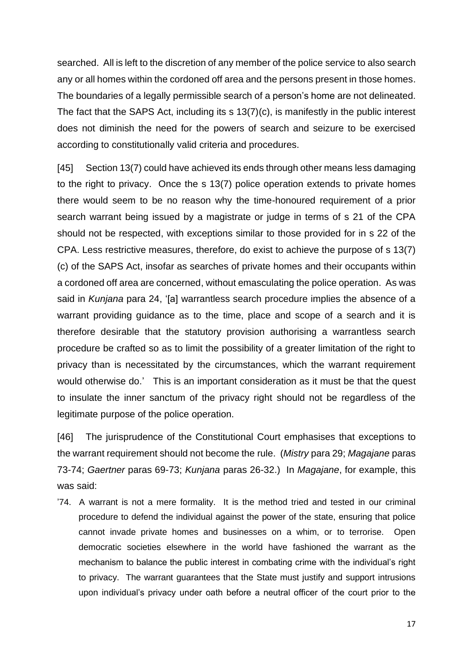searched. All is left to the discretion of any member of the police service to also search any or all homes within the cordoned off area and the persons present in those homes. The boundaries of a legally permissible search of a person's home are not delineated. The fact that the SAPS Act, including its s 13(7)(c), is manifestly in the public interest does not diminish the need for the powers of search and seizure to be exercised according to constitutionally valid criteria and procedures.

[45] Section 13(7) could have achieved its ends through other means less damaging to the right to privacy. Once the s 13(7) police operation extends to private homes there would seem to be no reason why the time-honoured requirement of a prior search warrant being issued by a magistrate or judge in terms of s 21 of the CPA should not be respected, with exceptions similar to those provided for in s 22 of the CPA. Less restrictive measures, therefore, do exist to achieve the purpose of s 13(7) (c) of the SAPS Act, insofar as searches of private homes and their occupants within a cordoned off area are concerned, without emasculating the police operation. As was said in *Kunjana* para 24, '[a] warrantless search procedure implies the absence of a warrant providing guidance as to the time, place and scope of a search and it is therefore desirable that the statutory provision authorising a warrantless search procedure be crafted so as to limit the possibility of a greater limitation of the right to privacy than is necessitated by the circumstances, which the warrant requirement would otherwise do.' This is an important consideration as it must be that the quest to insulate the inner sanctum of the privacy right should not be regardless of the legitimate purpose of the police operation.

[46] The jurisprudence of the Constitutional Court emphasises that exceptions to the warrant requirement should not become the rule. (*Mistry* para 29; *Magajane* paras 73-74; *Gaertner* paras 69-73; *Kunjana* paras 26-32.) In *Magajane*, for example, this was said:

'74. A warrant is not a mere formality. It is the method tried and tested in our criminal procedure to defend the individual against the power of the state, ensuring that police cannot invade private homes and businesses on a whim, or to terrorise. Open democratic societies elsewhere in the world have fashioned the warrant as the mechanism to balance the public interest in combating crime with the individual's right to privacy. The warrant guarantees that the State must justify and support intrusions upon individual's privacy under oath before a neutral officer of the court prior to the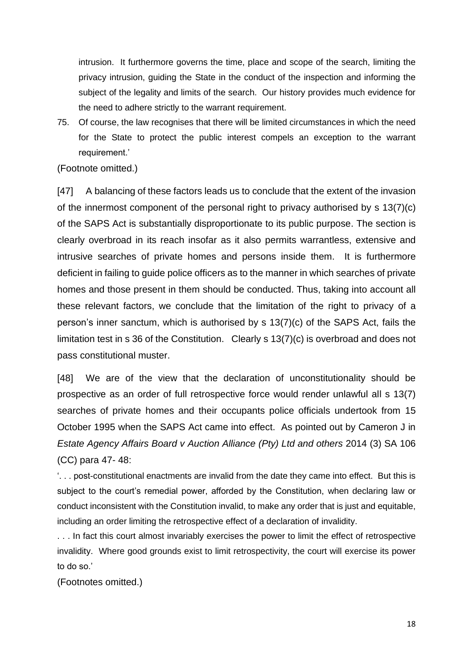intrusion. It furthermore governs the time, place and scope of the search, limiting the privacy intrusion, guiding the State in the conduct of the inspection and informing the subject of the legality and limits of the search. Our history provides much evidence for the need to adhere strictly to the warrant requirement.

75. Of course, the law recognises that there will be limited circumstances in which the need for the State to protect the public interest compels an exception to the warrant requirement.'

(Footnote omitted.)

[47] A balancing of these factors leads us to conclude that the extent of the invasion of the innermost component of the personal right to privacy authorised by s 13(7)(c) of the SAPS Act is substantially disproportionate to its public purpose. The section is clearly overbroad in its reach insofar as it also permits warrantless, extensive and intrusive searches of private homes and persons inside them. It is furthermore deficient in failing to guide police officers as to the manner in which searches of private homes and those present in them should be conducted. Thus, taking into account all these relevant factors, we conclude that the limitation of the right to privacy of a person's inner sanctum, which is authorised by s 13(7)(c) of the SAPS Act, fails the limitation test in s 36 of the Constitution. Clearly s 13(7)(c) is overbroad and does not pass constitutional muster.

[48] We are of the view that the declaration of unconstitutionality should be prospective as an order of full retrospective force would render unlawful all s 13(7) searches of private homes and their occupants police officials undertook from 15 October 1995 when the SAPS Act came into effect. As pointed out by Cameron J in *Estate Agency Affairs Board v Auction Alliance (Pty) Ltd and others* 2014 (3) SA 106 (CC) para 47- 48:

'. . . post-constitutional enactments are invalid from the date they came into effect. But this is subject to the court's remedial power, afforded by the Constitution, when declaring law or conduct inconsistent with the Constitution invalid, to make any order that is just and equitable, including an order limiting the retrospective effect of a declaration of invalidity.

. . . In fact this court almost invariably exercises the power to limit the effect of retrospective invalidity. Where good grounds exist to limit retrospectivity, the court will exercise its power to do so.'

(Footnotes omitted.)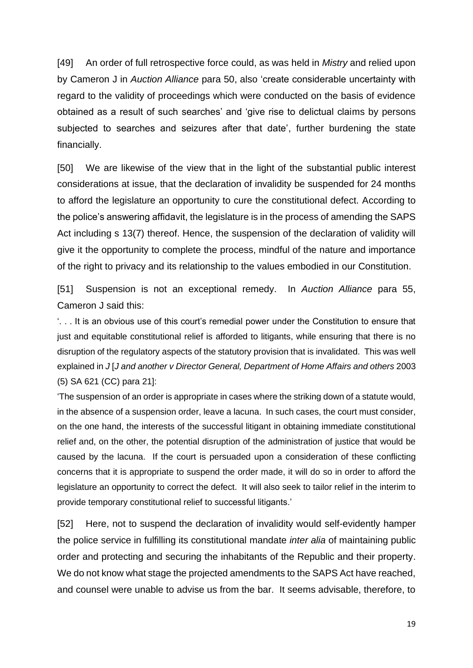[49] An order of full retrospective force could, as was held in *Mistry* and relied upon by Cameron J in *Auction Alliance* para 50, also 'create considerable uncertainty with regard to the validity of proceedings which were conducted on the basis of evidence obtained as a result of such searches' and 'give rise to delictual claims by persons subjected to searches and seizures after that date', further burdening the state financially.

[50] We are likewise of the view that in the light of the substantial public interest considerations at issue, that the declaration of invalidity be suspended for 24 months to afford the legislature an opportunity to cure the constitutional defect. According to the police's answering affidavit, the legislature is in the process of amending the SAPS Act including s 13(7) thereof. Hence, the suspension of the declaration of validity will give it the opportunity to complete the process, mindful of the nature and importance of the right to privacy and its relationship to the values embodied in our Constitution.

[51] Suspension is not an exceptional remedy. In *Auction Alliance* para 55, Cameron J said this:

'. . . It is an obvious use of this court's remedial power under the Constitution to ensure that just and equitable constitutional relief is afforded to litigants, while ensuring that there is no disruption of the regulatory aspects of the statutory provision that is invalidated. This was well explained in *J* [*J and another v Director General, Department of Home Affairs and others* 2003 (5) SA 621 (CC) para 21]:

'The suspension of an order is appropriate in cases where the striking down of a statute would, in the absence of a suspension order, leave a lacuna. In such cases, the court must consider, on the one hand, the interests of the successful litigant in obtaining immediate constitutional relief and, on the other, the potential disruption of the administration of justice that would be caused by the lacuna. If the court is persuaded upon a consideration of these conflicting concerns that it is appropriate to suspend the order made, it will do so in order to afford the legislature an opportunity to correct the defect. It will also seek to tailor relief in the interim to provide temporary constitutional relief to successful litigants.'

[52] Here, not to suspend the declaration of invalidity would self-evidently hamper the police service in fulfilling its constitutional mandate *inter alia* of maintaining public order and protecting and securing the inhabitants of the Republic and their property. We do not know what stage the projected amendments to the SAPS Act have reached, and counsel were unable to advise us from the bar. It seems advisable, therefore, to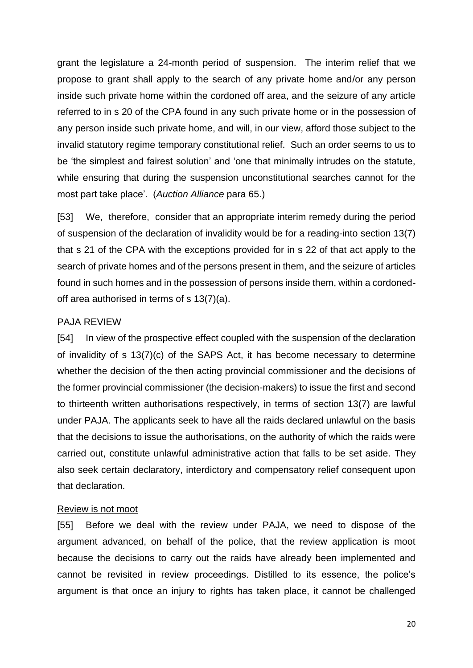grant the legislature a 24-month period of suspension. The interim relief that we propose to grant shall apply to the search of any private home and/or any person inside such private home within the cordoned off area, and the seizure of any article referred to in s 20 of the CPA found in any such private home or in the possession of any person inside such private home, and will, in our view, afford those subject to the invalid statutory regime temporary constitutional relief. Such an order seems to us to be 'the simplest and fairest solution' and 'one that minimally intrudes on the statute, while ensuring that during the suspension unconstitutional searches cannot for the most part take place'. (*Auction Alliance* para 65.)

[53] We, therefore, consider that an appropriate interim remedy during the period of suspension of the declaration of invalidity would be for a reading-into section 13(7) that s 21 of the CPA with the exceptions provided for in s 22 of that act apply to the search of private homes and of the persons present in them, and the seizure of articles found in such homes and in the possession of persons inside them, within a cordonedoff area authorised in terms of s 13(7)(a).

#### PAJA REVIEW

[54] In view of the prospective effect coupled with the suspension of the declaration of invalidity of s 13(7)(c) of the SAPS Act, it has become necessary to determine whether the decision of the then acting provincial commissioner and the decisions of the former provincial commissioner (the decision-makers) to issue the first and second to thirteenth written authorisations respectively, in terms of section 13(7) are lawful under PAJA. The applicants seek to have all the raids declared unlawful on the basis that the decisions to issue the authorisations, on the authority of which the raids were carried out, constitute unlawful administrative action that falls to be set aside. They also seek certain declaratory, interdictory and compensatory relief consequent upon that declaration.

#### Review is not moot

[55] Before we deal with the review under PAJA, we need to dispose of the argument advanced, on behalf of the police, that the review application is moot because the decisions to carry out the raids have already been implemented and cannot be revisited in review proceedings. Distilled to its essence, the police's argument is that once an injury to rights has taken place, it cannot be challenged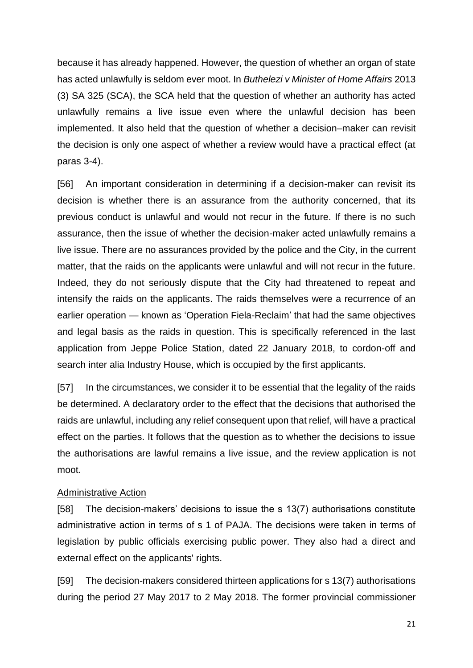because it has already happened. However, the question of whether an organ of state has acted unlawfully is seldom ever moot. In *Buthelezi v Minister of Home Affairs* 2013 (3) SA 325 (SCA), the SCA held that the question of whether an authority has acted unlawfully remains a live issue even where the unlawful decision has been implemented. It also held that the question of whether a decision–maker can revisit the decision is only one aspect of whether a review would have a practical effect (at paras 3-4).

[56] An important consideration in determining if a decision-maker can revisit its decision is whether there is an assurance from the authority concerned, that its previous conduct is unlawful and would not recur in the future. If there is no such assurance, then the issue of whether the decision-maker acted unlawfully remains a live issue. There are no assurances provided by the police and the City, in the current matter, that the raids on the applicants were unlawful and will not recur in the future. Indeed, they do not seriously dispute that the City had threatened to repeat and intensify the raids on the applicants. The raids themselves were a recurrence of an earlier operation — known as 'Operation Fiela-Reclaim' that had the same objectives and legal basis as the raids in question. This is specifically referenced in the last application from Jeppe Police Station, dated 22 January 2018, to cordon-off and search inter alia Industry House, which is occupied by the first applicants.

[57] In the circumstances, we consider it to be essential that the legality of the raids be determined. A declaratory order to the effect that the decisions that authorised the raids are unlawful, including any relief consequent upon that relief, will have a practical effect on the parties. It follows that the question as to whether the decisions to issue the authorisations are lawful remains a live issue, and the review application is not moot.

#### Administrative Action

[58] The decision-makers' decisions to issue the s 13(7) authorisations constitute administrative action in terms of s 1 of PAJA. The decisions were taken in terms of legislation by public officials exercising public power. They also had a direct and external effect on the applicants' rights.

[59] The decision-makers considered thirteen applications for s 13(7) authorisations during the period 27 May 2017 to 2 May 2018. The former provincial commissioner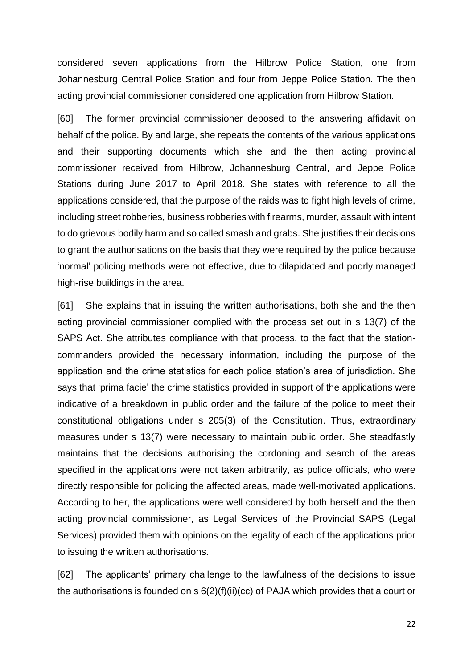considered seven applications from the Hilbrow Police Station, one from Johannesburg Central Police Station and four from Jeppe Police Station. The then acting provincial commissioner considered one application from Hilbrow Station.

[60] The former provincial commissioner deposed to the answering affidavit on behalf of the police. By and large, she repeats the contents of the various applications and their supporting documents which she and the then acting provincial commissioner received from Hilbrow, Johannesburg Central, and Jeppe Police Stations during June 2017 to April 2018. She states with reference to all the applications considered, that the purpose of the raids was to fight high levels of crime, including street robberies, business robberies with firearms, murder, assault with intent to do grievous bodily harm and so called smash and grabs. She justifies their decisions to grant the authorisations on the basis that they were required by the police because 'normal' policing methods were not effective, due to dilapidated and poorly managed high-rise buildings in the area.

[61] She explains that in issuing the written authorisations, both she and the then acting provincial commissioner complied with the process set out in s 13(7) of the SAPS Act. She attributes compliance with that process, to the fact that the stationcommanders provided the necessary information, including the purpose of the application and the crime statistics for each police station's area of jurisdiction. She says that 'prima facie' the crime statistics provided in support of the applications were indicative of a breakdown in public order and the failure of the police to meet their constitutional obligations under s 205(3) of the Constitution. Thus, extraordinary measures under s 13(7) were necessary to maintain public order. She steadfastly maintains that the decisions authorising the cordoning and search of the areas specified in the applications were not taken arbitrarily, as police officials, who were directly responsible for policing the affected areas, made well-motivated applications. According to her, the applications were well considered by both herself and the then acting provincial commissioner, as Legal Services of the Provincial SAPS (Legal Services) provided them with opinions on the legality of each of the applications prior to issuing the written authorisations.

[62] The applicants' primary challenge to the lawfulness of the decisions to issue the authorisations is founded on  $s 6(2)(f)(ii)(cc)$  of PAJA which provides that a court or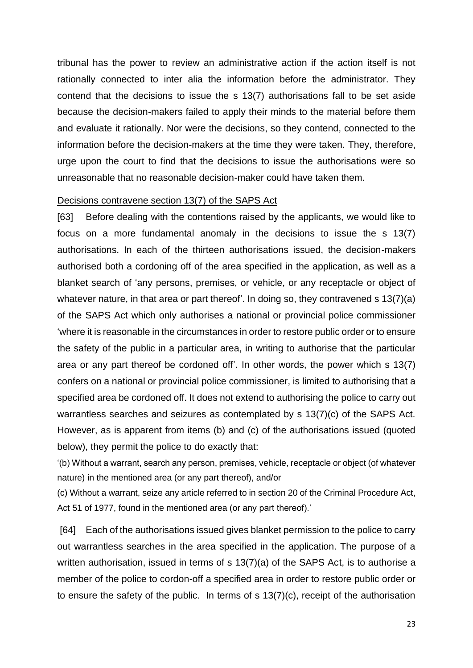tribunal has the power to review an administrative action if the action itself is not rationally connected to inter alia the information before the administrator. They contend that the decisions to issue the s 13(7) authorisations fall to be set aside because the decision-makers failed to apply their minds to the material before them and evaluate it rationally. Nor were the decisions, so they contend, connected to the information before the decision-makers at the time they were taken. They, therefore, urge upon the court to find that the decisions to issue the authorisations were so unreasonable that no reasonable decision-maker could have taken them.

#### Decisions contravene section 13(7) of the SAPS Act

[63] Before dealing with the contentions raised by the applicants, we would like to focus on a more fundamental anomaly in the decisions to issue the s 13(7) authorisations. In each of the thirteen authorisations issued, the decision-makers authorised both a cordoning off of the area specified in the application, as well as a blanket search of 'any persons, premises, or vehicle, or any receptacle or object of whatever nature, in that area or part thereof'. In doing so, they contravened s 13(7)(a) of the SAPS Act which only authorises a national or provincial police commissioner 'where it is reasonable in the circumstances in order to restore public order or to ensure the safety of the public in a particular area, in writing to authorise that the particular area or any part thereof be cordoned off'. In other words, the power which s 13(7) confers on a national or provincial police commissioner, is limited to authorising that a specified area be cordoned off. It does not extend to authorising the police to carry out warrantless searches and seizures as contemplated by s 13(7)(c) of the SAPS Act. However, as is apparent from items (b) and (c) of the authorisations issued (quoted below), they permit the police to do exactly that:

'(b) Without a warrant, search any person, premises, vehicle, receptacle or object (of whatever nature) in the mentioned area (or any part thereof), and/or

(c) Without a warrant, seize any article referred to in section 20 of the Criminal Procedure Act, Act 51 of 1977, found in the mentioned area (or any part thereof).'

[64] Each of the authorisations issued gives blanket permission to the police to carry out warrantless searches in the area specified in the application. The purpose of a written authorisation, issued in terms of s 13(7)(a) of the SAPS Act, is to authorise a member of the police to cordon-off a specified area in order to restore public order or to ensure the safety of the public. In terms of s 13(7)(c), receipt of the authorisation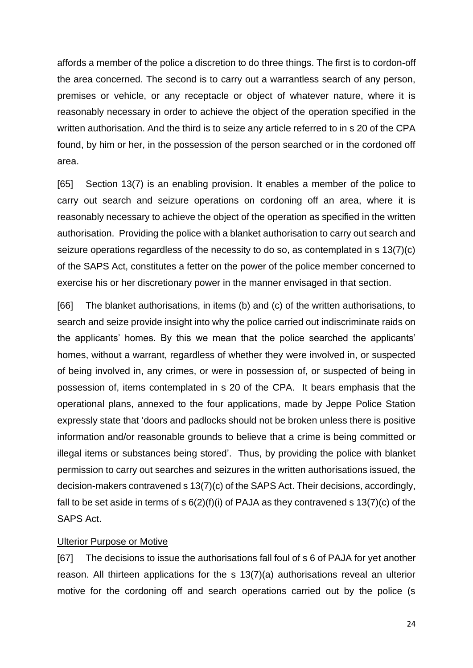affords a member of the police a discretion to do three things. The first is to cordon-off the area concerned. The second is to carry out a warrantless search of any person, premises or vehicle, or any receptacle or object of whatever nature, where it is reasonably necessary in order to achieve the object of the operation specified in the written authorisation. And the third is to seize any article referred to in s 20 of the CPA found, by him or her, in the possession of the person searched or in the cordoned off area.

[65] Section 13(7) is an enabling provision. It enables a member of the police to carry out search and seizure operations on cordoning off an area, where it is reasonably necessary to achieve the object of the operation as specified in the written authorisation. Providing the police with a blanket authorisation to carry out search and seizure operations regardless of the necessity to do so, as contemplated in s 13(7)(c) of the SAPS Act, constitutes a fetter on the power of the police member concerned to exercise his or her discretionary power in the manner envisaged in that section.

[66] The blanket authorisations, in items (b) and (c) of the written authorisations, to search and seize provide insight into why the police carried out indiscriminate raids on the applicants' homes. By this we mean that the police searched the applicants' homes, without a warrant, regardless of whether they were involved in, or suspected of being involved in, any crimes, or were in possession of, or suspected of being in possession of, items contemplated in s 20 of the CPA. It bears emphasis that the operational plans, annexed to the four applications, made by Jeppe Police Station expressly state that 'doors and padlocks should not be broken unless there is positive information and/or reasonable grounds to believe that a crime is being committed or illegal items or substances being stored'. Thus, by providing the police with blanket permission to carry out searches and seizures in the written authorisations issued, the decision-makers contravened s 13(7)(c) of the SAPS Act. Their decisions, accordingly, fall to be set aside in terms of s  $6(2)(f)(i)$  of PAJA as they contravened s  $13(7)(c)$  of the SAPS Act.

#### Ulterior Purpose or Motive

[67] The decisions to issue the authorisations fall foul of s 6 of PAJA for yet another reason. All thirteen applications for the s 13(7)(a) authorisations reveal an ulterior motive for the cordoning off and search operations carried out by the police (s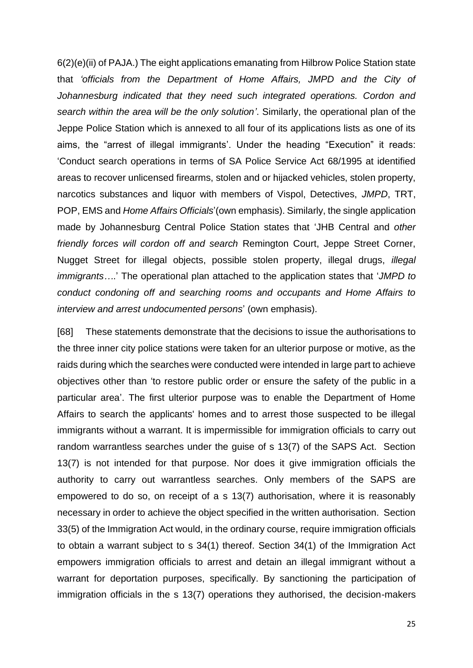6(2)(e)(ii) of PAJA.) The eight applications emanating from Hilbrow Police Station state that *'officials from the Department of Home Affairs, JMPD and the City of Johannesburg indicated that they need such integrated operations. Cordon and search within the area will be the only solution'*. Similarly, the operational plan of the Jeppe Police Station which is annexed to all four of its applications lists as one of its aims, the "arrest of illegal immigrants'. Under the heading "Execution" it reads: 'Conduct search operations in terms of SA Police Service Act 68/1995 at identified areas to recover unlicensed firearms, stolen and or hijacked vehicles, stolen property, narcotics substances and liquor with members of Vispol, Detectives, *JMPD*, TRT, POP, EMS and *Home Affairs Officials*'(own emphasis). Similarly, the single application made by Johannesburg Central Police Station states that 'JHB Central and *other friendly forces will cordon off and search* Remington Court, Jeppe Street Corner, Nugget Street for illegal objects, possible stolen property, illegal drugs, *illegal immigrants…*.' The operational plan attached to the application states that '*JMPD to conduct condoning off and searching rooms and occupants and Home Affairs to interview and arrest undocumented persons*' (own emphasis).

[68] These statements demonstrate that the decisions to issue the authorisations to the three inner city police stations were taken for an ulterior purpose or motive, as the raids during which the searches were conducted were intended in large part to achieve objectives other than 'to restore public order or ensure the safety of the public in a particular area'. The first ulterior purpose was to enable the Department of Home Affairs to search the applicants' homes and to arrest those suspected to be illegal immigrants without a warrant. It is impermissible for immigration officials to carry out random warrantless searches under the guise of s 13(7) of the SAPS Act. Section 13(7) is not intended for that purpose. Nor does it give immigration officials the authority to carry out warrantless searches. Only members of the SAPS are empowered to do so, on receipt of a s 13(7) authorisation, where it is reasonably necessary in order to achieve the object specified in the written authorisation. Section 33(5) of the Immigration Act would, in the ordinary course, require immigration officials to obtain a warrant subject to s 34(1) thereof. Section 34(1) of the Immigration Act empowers immigration officials to arrest and detain an illegal immigrant without a warrant for deportation purposes, specifically. By sanctioning the participation of immigration officials in the s 13(7) operations they authorised, the decision-makers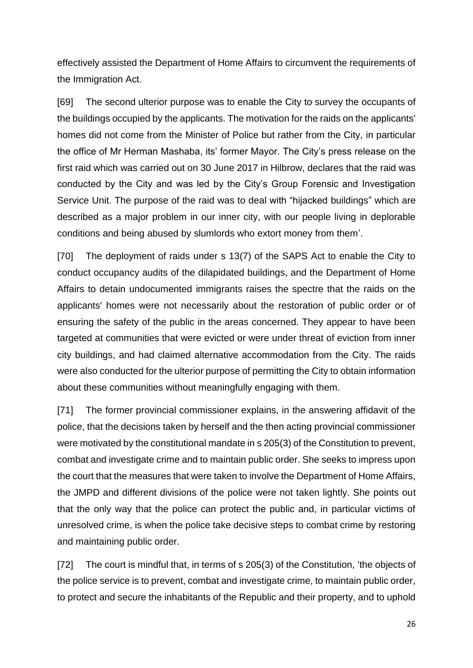effectively assisted the Department of Home Affairs to circumvent the requirements of the Immigration Act.

[69] The second ulterior purpose was to enable the City to survey the occupants of the buildings occupied by the applicants. The motivation for the raids on the applicants' homes did not come from the Minister of Police but rather from the City, in particular the office of Mr Herman Mashaba, its' former Mayor. The City's press release on the first raid which was carried out on 30 June 2017 in Hilbrow, declares that the raid was conducted by the City and was led by the City's Group Forensic and Investigation Service Unit. The purpose of the raid was to deal with "hijacked buildings" which are described as a major problem in our inner city, with our people living in deplorable conditions and being abused by slumlords who extort money from them'.

[70] The deployment of raids under s 13(7) of the SAPS Act to enable the City to conduct occupancy audits of the dilapidated buildings, and the Department of Home Affairs to detain undocumented immigrants raises the spectre that the raids on the applicants' homes were not necessarily about the restoration of public order or of ensuring the safety of the public in the areas concerned. They appear to have been targeted at communities that were evicted or were under threat of eviction from inner city buildings, and had claimed alternative accommodation from the City. The raids were also conducted for the ulterior purpose of permitting the City to obtain information about these communities without meaningfully engaging with them.

[71] The former provincial commissioner explains, in the answering affidavit of the police, that the decisions taken by herself and the then acting provincial commissioner were motivated by the constitutional mandate in s 205(3) of the Constitution to prevent, combat and investigate crime and to maintain public order. She seeks to impress upon the court that the measures that were taken to involve the Department of Home Affairs, the JMPD and different divisions of the police were not taken lightly. She points out that the only way that the police can protect the public and, in particular victims of unresolved crime, is when the police take decisive steps to combat crime by restoring and maintaining public order.

[72] The court is mindful that, in terms of s 205(3) of the Constitution, 'the objects of the police service is to prevent, combat and investigate crime, to maintain public order, to protect and secure the inhabitants of the Republic and their property, and to uphold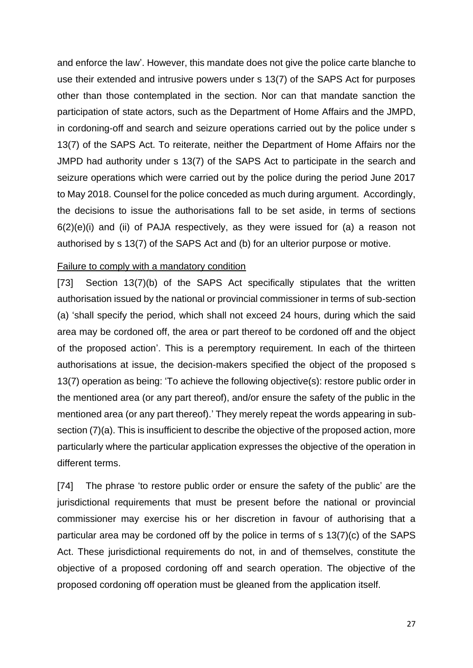and enforce the law'. However, this mandate does not give the police carte blanche to use their extended and intrusive powers under s 13(7) of the SAPS Act for purposes other than those contemplated in the section. Nor can that mandate sanction the participation of state actors, such as the Department of Home Affairs and the JMPD, in cordoning-off and search and seizure operations carried out by the police under s 13(7) of the SAPS Act. To reiterate, neither the Department of Home Affairs nor the JMPD had authority under s 13(7) of the SAPS Act to participate in the search and seizure operations which were carried out by the police during the period June 2017 to May 2018. Counsel for the police conceded as much during argument. Accordingly, the decisions to issue the authorisations fall to be set aside, in terms of sections 6(2)(e)(i) and (ii) of PAJA respectively, as they were issued for (a) a reason not authorised by s 13(7) of the SAPS Act and (b) for an ulterior purpose or motive.

## Failure to comply with a mandatory condition

[73] Section 13(7)(b) of the SAPS Act specifically stipulates that the written authorisation issued by the national or provincial commissioner in terms of sub-section (a) 'shall specify the period, which shall not exceed 24 hours, during which the said area may be cordoned off, the area or part thereof to be cordoned off and the object of the proposed action'. This is a peremptory requirement. In each of the thirteen authorisations at issue, the decision-makers specified the object of the proposed s 13(7) operation as being: 'To achieve the following objective(s): restore public order in the mentioned area (or any part thereof), and/or ensure the safety of the public in the mentioned area (or any part thereof).' They merely repeat the words appearing in subsection (7)(a). This is insufficient to describe the objective of the proposed action, more particularly where the particular application expresses the objective of the operation in different terms.

[74] The phrase 'to restore public order or ensure the safety of the public' are the jurisdictional requirements that must be present before the national or provincial commissioner may exercise his or her discretion in favour of authorising that a particular area may be cordoned off by the police in terms of s 13(7)(c) of the SAPS Act. These jurisdictional requirements do not, in and of themselves, constitute the objective of a proposed cordoning off and search operation. The objective of the proposed cordoning off operation must be gleaned from the application itself.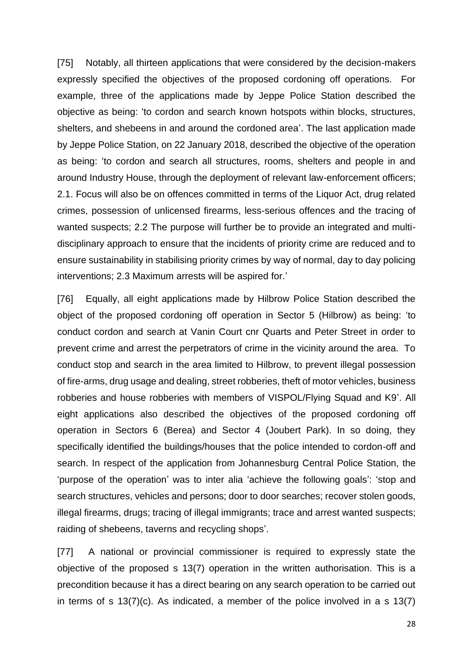[75] Notably, all thirteen applications that were considered by the decision-makers expressly specified the objectives of the proposed cordoning off operations. For example, three of the applications made by Jeppe Police Station described the objective as being: 'to cordon and search known hotspots within blocks, structures, shelters, and shebeens in and around the cordoned area'. The last application made by Jeppe Police Station, on 22 January 2018, described the objective of the operation as being: 'to cordon and search all structures, rooms, shelters and people in and around Industry House, through the deployment of relevant law-enforcement officers; 2.1. Focus will also be on offences committed in terms of the Liquor Act, drug related crimes, possession of unlicensed firearms, less-serious offences and the tracing of wanted suspects; 2.2 The purpose will further be to provide an integrated and multidisciplinary approach to ensure that the incidents of priority crime are reduced and to ensure sustainability in stabilising priority crimes by way of normal, day to day policing interventions; 2.3 Maximum arrests will be aspired for.'

[76] Equally, all eight applications made by Hilbrow Police Station described the object of the proposed cordoning off operation in Sector 5 (Hilbrow) as being: 'to conduct cordon and search at Vanin Court cnr Quarts and Peter Street in order to prevent crime and arrest the perpetrators of crime in the vicinity around the area. To conduct stop and search in the area limited to Hilbrow, to prevent illegal possession of fire-arms, drug usage and dealing, street robberies, theft of motor vehicles, business robberies and house robberies with members of VISPOL/Flying Squad and K9'. All eight applications also described the objectives of the proposed cordoning off operation in Sectors 6 (Berea) and Sector 4 (Joubert Park). In so doing, they specifically identified the buildings/houses that the police intended to cordon-off and search. In respect of the application from Johannesburg Central Police Station, the 'purpose of the operation' was to inter alia 'achieve the following goals': 'stop and search structures, vehicles and persons; door to door searches; recover stolen goods, illegal firearms, drugs; tracing of illegal immigrants; trace and arrest wanted suspects; raiding of shebeens, taverns and recycling shops'.

[77] A national or provincial commissioner is required to expressly state the objective of the proposed s 13(7) operation in the written authorisation. This is a precondition because it has a direct bearing on any search operation to be carried out in terms of s  $13(7)(c)$ . As indicated, a member of the police involved in a s  $13(7)$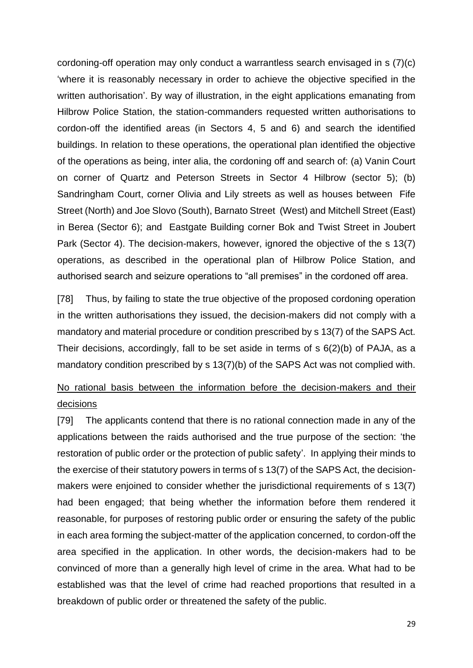cordoning-off operation may only conduct a warrantless search envisaged in s (7)(c) 'where it is reasonably necessary in order to achieve the objective specified in the written authorisation'. By way of illustration, in the eight applications emanating from Hilbrow Police Station, the station-commanders requested written authorisations to cordon-off the identified areas (in Sectors 4, 5 and 6) and search the identified buildings. In relation to these operations, the operational plan identified the objective of the operations as being, inter alia, the cordoning off and search of: (a) Vanin Court on corner of Quartz and Peterson Streets in Sector 4 Hilbrow (sector 5); (b) Sandringham Court, corner Olivia and Lily streets as well as houses between Fife Street (North) and Joe Slovo (South), Barnato Street (West) and Mitchell Street (East) in Berea (Sector 6); and Eastgate Building corner Bok and Twist Street in Joubert Park (Sector 4). The decision-makers, however, ignored the objective of the s 13(7) operations, as described in the operational plan of Hilbrow Police Station, and authorised search and seizure operations to "all premises" in the cordoned off area.

[78] Thus, by failing to state the true objective of the proposed cordoning operation in the written authorisations they issued, the decision-makers did not comply with a mandatory and material procedure or condition prescribed by s 13(7) of the SAPS Act. Their decisions, accordingly, fall to be set aside in terms of s 6(2)(b) of PAJA, as a mandatory condition prescribed by s 13(7)(b) of the SAPS Act was not complied with.

# No rational basis between the information before the decision-makers and their decisions

[79] The applicants contend that there is no rational connection made in any of the applications between the raids authorised and the true purpose of the section: 'the restoration of public order or the protection of public safety'. In applying their minds to the exercise of their statutory powers in terms of s 13(7) of the SAPS Act, the decisionmakers were enjoined to consider whether the jurisdictional requirements of s 13(7) had been engaged; that being whether the information before them rendered it reasonable, for purposes of restoring public order or ensuring the safety of the public in each area forming the subject-matter of the application concerned, to cordon-off the area specified in the application. In other words, the decision-makers had to be convinced of more than a generally high level of crime in the area. What had to be established was that the level of crime had reached proportions that resulted in a breakdown of public order or threatened the safety of the public.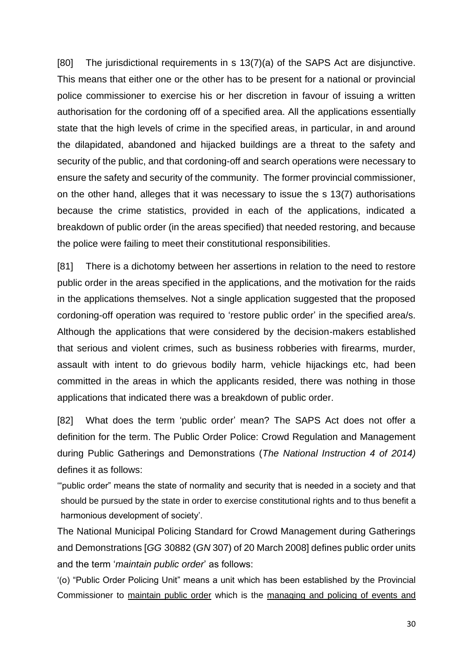[80] The jurisdictional requirements in s 13(7)(a) of the SAPS Act are disjunctive. This means that either one or the other has to be present for a national or provincial police commissioner to exercise his or her discretion in favour of issuing a written authorisation for the cordoning off of a specified area. All the applications essentially state that the high levels of crime in the specified areas, in particular, in and around the dilapidated, abandoned and hijacked buildings are a threat to the safety and security of the public, and that cordoning-off and search operations were necessary to ensure the safety and security of the community. The former provincial commissioner, on the other hand, alleges that it was necessary to issue the s 13(7) authorisations because the crime statistics, provided in each of the applications, indicated a breakdown of public order (in the areas specified) that needed restoring, and because the police were failing to meet their constitutional responsibilities.

[81] There is a dichotomy between her assertions in relation to the need to restore public order in the areas specified in the applications, and the motivation for the raids in the applications themselves. Not a single application suggested that the proposed cordoning-off operation was required to 'restore public order' in the specified area/s. Although the applications that were considered by the decision-makers established that serious and violent crimes, such as business robberies with firearms, murder, assault with intent to do grievous bodily harm, vehicle hijackings etc, had been committed in the areas in which the applicants resided, there was nothing in those applications that indicated there was a breakdown of public order.

[82] What does the term 'public order' mean? The SAPS Act does not offer a definition for the term. The Public Order Police: Crowd Regulation and Management during Public Gatherings and Demonstrations (*The National Instruction 4 of 2014)* defines it as follows:

'"public order" means the state of normality and security that is needed in a society and that should be pursued by the state in order to exercise constitutional rights and to thus benefit a harmonious development of society'.

The National Municipal Policing Standard for Crowd Management during Gatherings and Demonstrations [*GG* 30882 (*GN* 307) of 20 March 2008] defines public order units and the term '*maintain public order*' as follows:

'(o) "Public Order Policing Unit" means a unit which has been established by the Provincial Commissioner to maintain public order which is the managing and policing of events and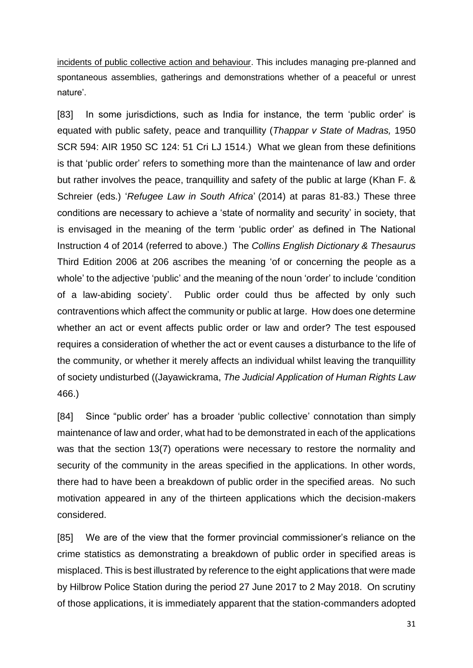incidents of public collective action and behaviour. This includes managing pre-planned and spontaneous assemblies, gatherings and demonstrations whether of a peaceful or unrest nature'.

[83] In some jurisdictions, such as India for instance, the term 'public order' is equated with public safety, peace and tranquillity (*Thappar v State of Madras,* 1950 SCR 594: AIR 1950 SC 124: 51 Cri LJ 1514.) What we glean from these definitions is that 'public order' refers to something more than the maintenance of law and order but rather involves the peace, tranquillity and safety of the public at large (Khan F. & Schreier (eds.) '*Refugee Law in South Africa*' (2014) at paras 81-83.) These three conditions are necessary to achieve a 'state of normality and security' in society, that is envisaged in the meaning of the term 'public order' as defined in The National Instruction 4 of 2014 (referred to above.) The *Collins English Dictionary & Thesaurus*  Third Edition 2006 at 206 ascribes the meaning 'of or concerning the people as a whole' to the adjective 'public' and the meaning of the noun 'order' to include 'condition of a law-abiding society'. Public order could thus be affected by only such contraventions which affect the community or public at large. How does one determine whether an act or event affects public order or law and order? The test espoused requires a consideration of whether the act or event causes a disturbance to the life of the community, or whether it merely affects an individual whilst leaving the tranquillity of society undisturbed ((Jayawickrama, *The Judicial Application of Human Rights Law*  466.)

[84] Since "public order' has a broader 'public collective' connotation than simply maintenance of law and order, what had to be demonstrated in each of the applications was that the section 13(7) operations were necessary to restore the normality and security of the community in the areas specified in the applications. In other words, there had to have been a breakdown of public order in the specified areas. No such motivation appeared in any of the thirteen applications which the decision-makers considered.

[85] We are of the view that the former provincial commissioner's reliance on the crime statistics as demonstrating a breakdown of public order in specified areas is misplaced. This is best illustrated by reference to the eight applications that were made by Hilbrow Police Station during the period 27 June 2017 to 2 May 2018. On scrutiny of those applications, it is immediately apparent that the station-commanders adopted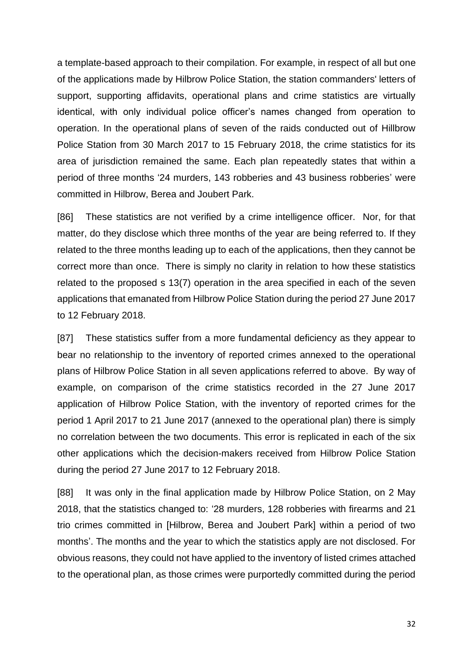a template-based approach to their compilation. For example, in respect of all but one of the applications made by Hilbrow Police Station, the station commanders' letters of support, supporting affidavits, operational plans and crime statistics are virtually identical, with only individual police officer's names changed from operation to operation. In the operational plans of seven of the raids conducted out of Hillbrow Police Station from 30 March 2017 to 15 February 2018, the crime statistics for its area of jurisdiction remained the same. Each plan repeatedly states that within a period of three months '24 murders, 143 robberies and 43 business robberies' were committed in Hilbrow, Berea and Joubert Park.

[86] These statistics are not verified by a crime intelligence officer. Nor, for that matter, do they disclose which three months of the year are being referred to. If they related to the three months leading up to each of the applications, then they cannot be correct more than once. There is simply no clarity in relation to how these statistics related to the proposed s 13(7) operation in the area specified in each of the seven applications that emanated from Hilbrow Police Station during the period 27 June 2017 to 12 February 2018.

[87] These statistics suffer from a more fundamental deficiency as they appear to bear no relationship to the inventory of reported crimes annexed to the operational plans of Hilbrow Police Station in all seven applications referred to above. By way of example, on comparison of the crime statistics recorded in the 27 June 2017 application of Hilbrow Police Station, with the inventory of reported crimes for the period 1 April 2017 to 21 June 2017 (annexed to the operational plan) there is simply no correlation between the two documents. This error is replicated in each of the six other applications which the decision-makers received from Hilbrow Police Station during the period 27 June 2017 to 12 February 2018.

[88] It was only in the final application made by Hilbrow Police Station, on 2 May 2018, that the statistics changed to: '28 murders, 128 robberies with firearms and 21 trio crimes committed in [Hilbrow, Berea and Joubert Park] within a period of two months'. The months and the year to which the statistics apply are not disclosed. For obvious reasons, they could not have applied to the inventory of listed crimes attached to the operational plan, as those crimes were purportedly committed during the period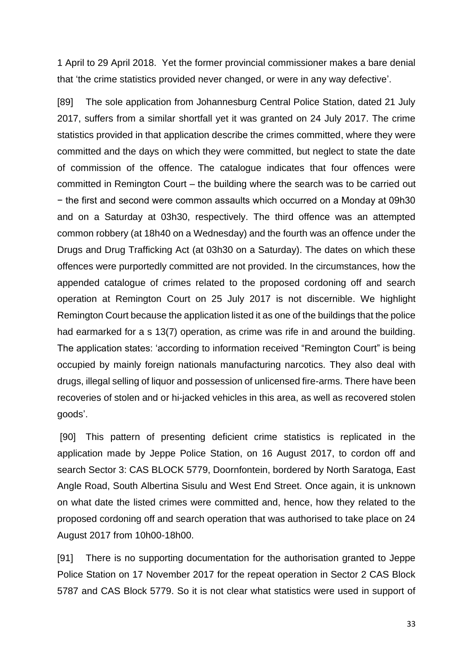1 April to 29 April 2018. Yet the former provincial commissioner makes a bare denial that 'the crime statistics provided never changed, or were in any way defective'.

[89] The sole application from Johannesburg Central Police Station, dated 21 July 2017, suffers from a similar shortfall yet it was granted on 24 July 2017. The crime statistics provided in that application describe the crimes committed, where they were committed and the days on which they were committed, but neglect to state the date of commission of the offence. The catalogue indicates that four offences were committed in Remington Court – the building where the search was to be carried out − the first and second were common assaults which occurred on a Monday at 09h30 and on a Saturday at 03h30, respectively. The third offence was an attempted common robbery (at 18h40 on a Wednesday) and the fourth was an offence under the Drugs and Drug Trafficking Act (at 03h30 on a Saturday). The dates on which these offences were purportedly committed are not provided. In the circumstances, how the appended catalogue of crimes related to the proposed cordoning off and search operation at Remington Court on 25 July 2017 is not discernible. We highlight Remington Court because the application listed it as one of the buildings that the police had earmarked for a s 13(7) operation, as crime was rife in and around the building. The application states: 'according to information received "Remington Court" is being occupied by mainly foreign nationals manufacturing narcotics. They also deal with drugs, illegal selling of liquor and possession of unlicensed fire-arms. There have been recoveries of stolen and or hi-jacked vehicles in this area, as well as recovered stolen goods'.

[90] This pattern of presenting deficient crime statistics is replicated in the application made by Jeppe Police Station, on 16 August 2017, to cordon off and search Sector 3: CAS BLOCK 5779, Doornfontein, bordered by North Saratoga, East Angle Road, South Albertina Sisulu and West End Street. Once again, it is unknown on what date the listed crimes were committed and, hence, how they related to the proposed cordoning off and search operation that was authorised to take place on 24 August 2017 from 10h00-18h00.

[91] There is no supporting documentation for the authorisation granted to Jeppe Police Station on 17 November 2017 for the repeat operation in Sector 2 CAS Block 5787 and CAS Block 5779. So it is not clear what statistics were used in support of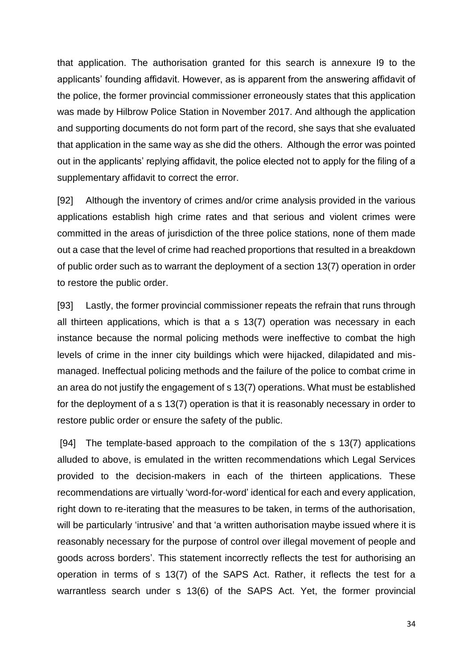that application. The authorisation granted for this search is annexure I9 to the applicants' founding affidavit. However, as is apparent from the answering affidavit of the police, the former provincial commissioner erroneously states that this application was made by Hilbrow Police Station in November 2017. And although the application and supporting documents do not form part of the record, she says that she evaluated that application in the same way as she did the others. Although the error was pointed out in the applicants' replying affidavit, the police elected not to apply for the filing of a supplementary affidavit to correct the error.

[92] Although the inventory of crimes and/or crime analysis provided in the various applications establish high crime rates and that serious and violent crimes were committed in the areas of jurisdiction of the three police stations, none of them made out a case that the level of crime had reached proportions that resulted in a breakdown of public order such as to warrant the deployment of a section 13(7) operation in order to restore the public order.

[93] Lastly, the former provincial commissioner repeats the refrain that runs through all thirteen applications, which is that a s 13(7) operation was necessary in each instance because the normal policing methods were ineffective to combat the high levels of crime in the inner city buildings which were hijacked, dilapidated and mismanaged. Ineffectual policing methods and the failure of the police to combat crime in an area do not justify the engagement of s 13(7) operations. What must be established for the deployment of a s 13(7) operation is that it is reasonably necessary in order to restore public order or ensure the safety of the public.

[94] The template-based approach to the compilation of the s 13(7) applications alluded to above, is emulated in the written recommendations which Legal Services provided to the decision-makers in each of the thirteen applications. These recommendations are virtually 'word-for-word' identical for each and every application, right down to re-iterating that the measures to be taken, in terms of the authorisation, will be particularly 'intrusive' and that 'a written authorisation maybe issued where it is reasonably necessary for the purpose of control over illegal movement of people and goods across borders'. This statement incorrectly reflects the test for authorising an operation in terms of s 13(7) of the SAPS Act. Rather, it reflects the test for a warrantless search under s 13(6) of the SAPS Act. Yet, the former provincial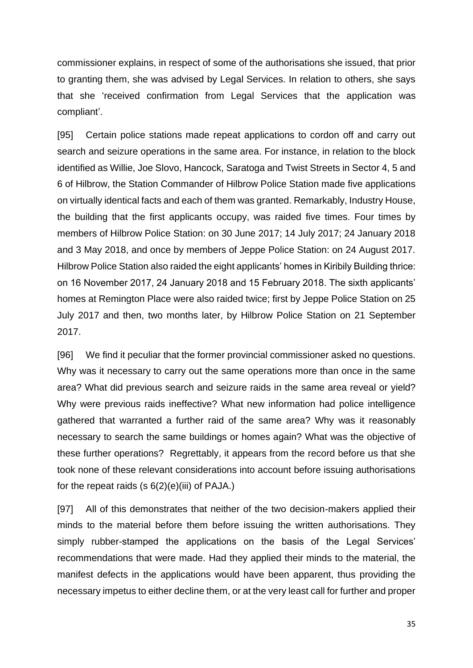commissioner explains, in respect of some of the authorisations she issued, that prior to granting them, she was advised by Legal Services. In relation to others, she says that she 'received confirmation from Legal Services that the application was compliant'.

[95] Certain police stations made repeat applications to cordon off and carry out search and seizure operations in the same area. For instance, in relation to the block identified as Willie, Joe Slovo, Hancock, Saratoga and Twist Streets in Sector 4, 5 and 6 of Hilbrow, the Station Commander of Hilbrow Police Station made five applications on virtually identical facts and each of them was granted. Remarkably, Industry House, the building that the first applicants occupy, was raided five times. Four times by members of Hilbrow Police Station: on 30 June 2017; 14 July 2017; 24 January 2018 and 3 May 2018, and once by members of Jeppe Police Station: on 24 August 2017. Hilbrow Police Station also raided the eight applicants' homes in Kiribily Building thrice: on 16 November 2017, 24 January 2018 and 15 February 2018. The sixth applicants' homes at Remington Place were also raided twice; first by Jeppe Police Station on 25 July 2017 and then, two months later, by Hilbrow Police Station on 21 September 2017.

[96] We find it peculiar that the former provincial commissioner asked no questions. Why was it necessary to carry out the same operations more than once in the same area? What did previous search and seizure raids in the same area reveal or yield? Why were previous raids ineffective? What new information had police intelligence gathered that warranted a further raid of the same area? Why was it reasonably necessary to search the same buildings or homes again? What was the objective of these further operations? Regrettably, it appears from the record before us that she took none of these relevant considerations into account before issuing authorisations for the repeat raids  $(s 6(2)(e)(iii)$  of PAJA.)

[97] All of this demonstrates that neither of the two decision-makers applied their minds to the material before them before issuing the written authorisations. They simply rubber-stamped the applications on the basis of the Legal Services' recommendations that were made. Had they applied their minds to the material, the manifest defects in the applications would have been apparent, thus providing the necessary impetus to either decline them, or at the very least call for further and proper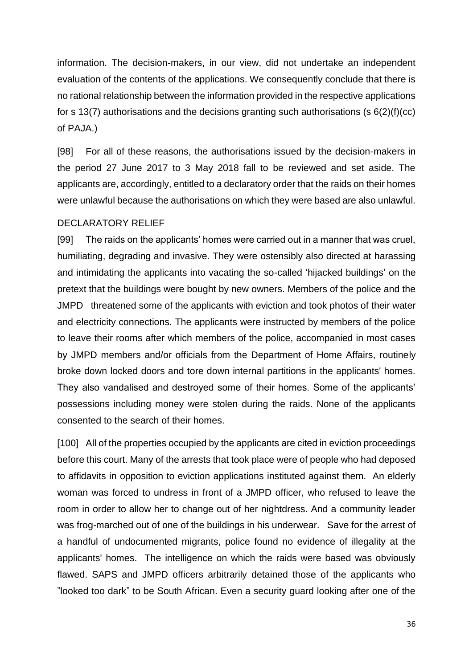information. The decision-makers, in our view, did not undertake an independent evaluation of the contents of the applications. We consequently conclude that there is no rational relationship between the information provided in the respective applications for s 13(7) authorisations and the decisions granting such authorisations (s  $6(2)(f)(cc)$ of PAJA.)

[98] For all of these reasons, the authorisations issued by the decision-makers in the period 27 June 2017 to 3 May 2018 fall to be reviewed and set aside. The applicants are, accordingly, entitled to a declaratory order that the raids on their homes were unlawful because the authorisations on which they were based are also unlawful.

## DECLARATORY RELIEF

[99] The raids on the applicants' homes were carried out in a manner that was cruel, humiliating, degrading and invasive. They were ostensibly also directed at harassing and intimidating the applicants into vacating the so-called 'hijacked buildings' on the pretext that the buildings were bought by new owners. Members of the police and the JMPD threatened some of the applicants with eviction and took photos of their water and electricity connections. The applicants were instructed by members of the police to leave their rooms after which members of the police, accompanied in most cases by JMPD members and/or officials from the Department of Home Affairs, routinely broke down locked doors and tore down internal partitions in the applicants' homes. They also vandalised and destroyed some of their homes. Some of the applicants' possessions including money were stolen during the raids. None of the applicants consented to the search of their homes.

[100] All of the properties occupied by the applicants are cited in eviction proceedings before this court. Many of the arrests that took place were of people who had deposed to affidavits in opposition to eviction applications instituted against them. An elderly woman was forced to undress in front of a JMPD officer, who refused to leave the room in order to allow her to change out of her nightdress. And a community leader was frog-marched out of one of the buildings in his underwear. Save for the arrest of a handful of undocumented migrants, police found no evidence of illegality at the applicants' homes. The intelligence on which the raids were based was obviously flawed. SAPS and JMPD officers arbitrarily detained those of the applicants who "looked too dark" to be South African. Even a security guard looking after one of the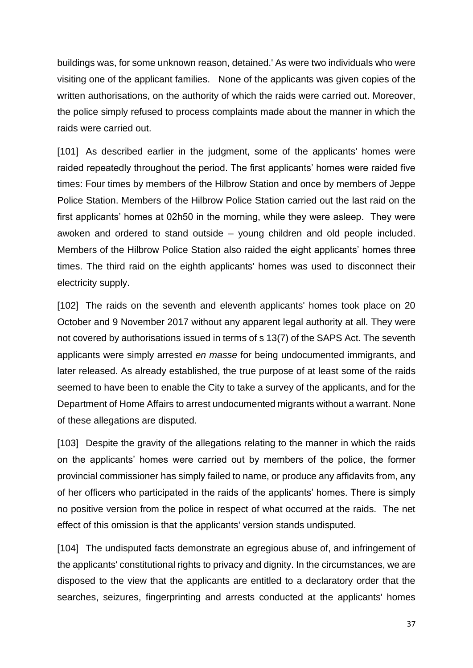buildings was, for some unknown reason, detained.' As were two individuals who were visiting one of the applicant families. None of the applicants was given copies of the written authorisations, on the authority of which the raids were carried out. Moreover, the police simply refused to process complaints made about the manner in which the raids were carried out.

[101] As described earlier in the judgment, some of the applicants' homes were raided repeatedly throughout the period. The first applicants' homes were raided five times: Four times by members of the Hilbrow Station and once by members of Jeppe Police Station. Members of the Hilbrow Police Station carried out the last raid on the first applicants' homes at 02h50 in the morning, while they were asleep. They were awoken and ordered to stand outside – young children and old people included. Members of the Hilbrow Police Station also raided the eight applicants' homes three times. The third raid on the eighth applicants' homes was used to disconnect their electricity supply.

[102] The raids on the seventh and eleventh applicants' homes took place on 20 October and 9 November 2017 without any apparent legal authority at all. They were not covered by authorisations issued in terms of s 13(7) of the SAPS Act. The seventh applicants were simply arrested *en masse* for being undocumented immigrants, and later released. As already established, the true purpose of at least some of the raids seemed to have been to enable the City to take a survey of the applicants, and for the Department of Home Affairs to arrest undocumented migrants without a warrant. None of these allegations are disputed.

[103] Despite the gravity of the allegations relating to the manner in which the raids on the applicants' homes were carried out by members of the police, the former provincial commissioner has simply failed to name, or produce any affidavits from, any of her officers who participated in the raids of the applicants' homes. There is simply no positive version from the police in respect of what occurred at the raids. The net effect of this omission is that the applicants' version stands undisputed.

[104] The undisputed facts demonstrate an egregious abuse of, and infringement of the applicants' constitutional rights to privacy and dignity. In the circumstances, we are disposed to the view that the applicants are entitled to a declaratory order that the searches, seizures, fingerprinting and arrests conducted at the applicants' homes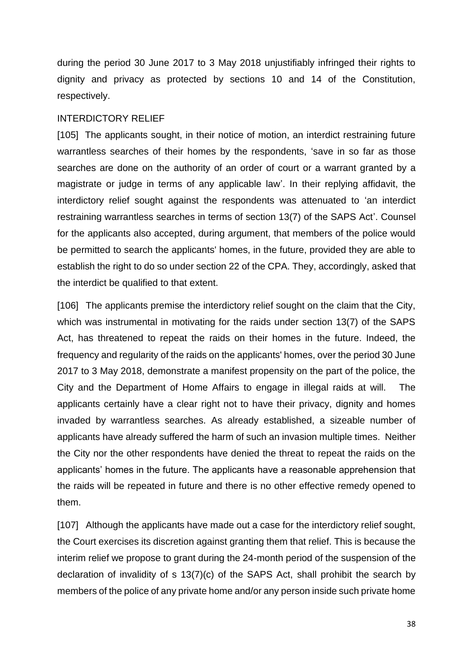during the period 30 June 2017 to 3 May 2018 unjustifiably infringed their rights to dignity and privacy as protected by sections 10 and 14 of the Constitution, respectively.

#### INTERDICTORY RELIEF

[105] The applicants sought, in their notice of motion, an interdict restraining future warrantless searches of their homes by the respondents, 'save in so far as those searches are done on the authority of an order of court or a warrant granted by a magistrate or judge in terms of any applicable law'. In their replying affidavit, the interdictory relief sought against the respondents was attenuated to 'an interdict restraining warrantless searches in terms of section 13(7) of the SAPS Act'. Counsel for the applicants also accepted, during argument, that members of the police would be permitted to search the applicants' homes, in the future, provided they are able to establish the right to do so under section 22 of the CPA. They, accordingly, asked that the interdict be qualified to that extent.

[106] The applicants premise the interdictory relief sought on the claim that the City, which was instrumental in motivating for the raids under section 13(7) of the SAPS Act, has threatened to repeat the raids on their homes in the future. Indeed, the frequency and regularity of the raids on the applicants' homes, over the period 30 June 2017 to 3 May 2018, demonstrate a manifest propensity on the part of the police, the City and the Department of Home Affairs to engage in illegal raids at will. The applicants certainly have a clear right not to have their privacy, dignity and homes invaded by warrantless searches. As already established, a sizeable number of applicants have already suffered the harm of such an invasion multiple times. Neither the City nor the other respondents have denied the threat to repeat the raids on the applicants' homes in the future. The applicants have a reasonable apprehension that the raids will be repeated in future and there is no other effective remedy opened to them.

[107] Although the applicants have made out a case for the interdictory relief sought, the Court exercises its discretion against granting them that relief. This is because the interim relief we propose to grant during the 24-month period of the suspension of the declaration of invalidity of s 13(7)(c) of the SAPS Act, shall prohibit the search by members of the police of any private home and/or any person inside such private home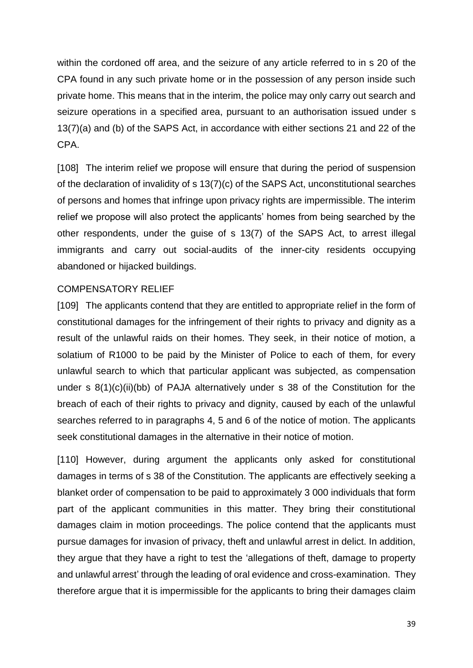within the cordoned off area, and the seizure of any article referred to in s 20 of the CPA found in any such private home or in the possession of any person inside such private home. This means that in the interim, the police may only carry out search and seizure operations in a specified area, pursuant to an authorisation issued under s 13(7)(a) and (b) of the SAPS Act, in accordance with either sections 21 and 22 of the CPA.

[108] The interim relief we propose will ensure that during the period of suspension of the declaration of invalidity of s 13(7)(c) of the SAPS Act, unconstitutional searches of persons and homes that infringe upon privacy rights are impermissible. The interim relief we propose will also protect the applicants' homes from being searched by the other respondents, under the guise of s 13(7) of the SAPS Act, to arrest illegal immigrants and carry out social-audits of the inner-city residents occupying abandoned or hijacked buildings.

## COMPENSATORY RELIEF

[109] The applicants contend that they are entitled to appropriate relief in the form of constitutional damages for the infringement of their rights to privacy and dignity as a result of the unlawful raids on their homes. They seek, in their notice of motion, a solatium of R1000 to be paid by the Minister of Police to each of them, for every unlawful search to which that particular applicant was subjected, as compensation under s 8(1)(c)(ii)(bb) of PAJA alternatively under s 38 of the Constitution for the breach of each of their rights to privacy and dignity, caused by each of the unlawful searches referred to in paragraphs 4, 5 and 6 of the notice of motion. The applicants seek constitutional damages in the alternative in their notice of motion.

[110] However, during argument the applicants only asked for constitutional damages in terms of s 38 of the Constitution. The applicants are effectively seeking a blanket order of compensation to be paid to approximately 3 000 individuals that form part of the applicant communities in this matter. They bring their constitutional damages claim in motion proceedings. The police contend that the applicants must pursue damages for invasion of privacy, theft and unlawful arrest in delict. In addition, they argue that they have a right to test the 'allegations of theft, damage to property and unlawful arrest' through the leading of oral evidence and cross-examination. They therefore argue that it is impermissible for the applicants to bring their damages claim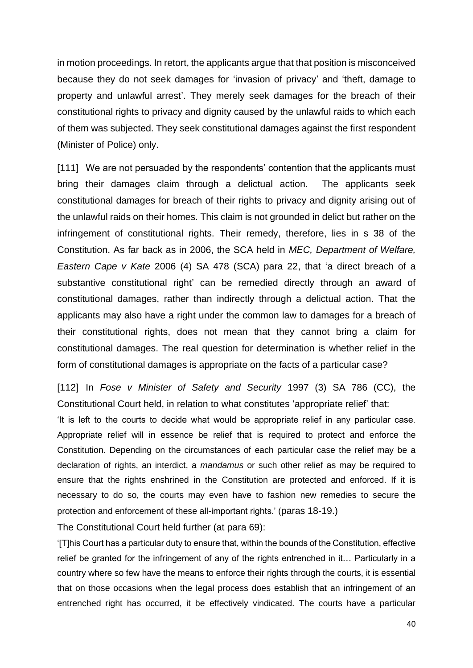in motion proceedings. In retort, the applicants argue that that position is misconceived because they do not seek damages for 'invasion of privacy' and 'theft, damage to property and unlawful arrest'. They merely seek damages for the breach of their constitutional rights to privacy and dignity caused by the unlawful raids to which each of them was subjected. They seek constitutional damages against the first respondent (Minister of Police) only.

[111] We are not persuaded by the respondents' contention that the applicants must bring their damages claim through a delictual action. The applicants seek constitutional damages for breach of their rights to privacy and dignity arising out of the unlawful raids on their homes. This claim is not grounded in delict but rather on the infringement of constitutional rights. Their remedy, therefore, lies in s 38 of the Constitution. As far back as in 2006, the SCA held in *MEC, Department of Welfare, Eastern Cape v Kate* 2006 (4) SA 478 (SCA) para 22, that 'a direct breach of a substantive constitutional right' can be remedied directly through an award of constitutional damages, rather than indirectly through a delictual action. That the applicants may also have a right under the common law to damages for a breach of their constitutional rights, does not mean that they cannot bring a claim for constitutional damages. The real question for determination is whether relief in the form of constitutional damages is appropriate on the facts of a particular case?

[112] In *Fose v Minister of Safety and Security* 1997 (3) SA 786 (CC), the Constitutional Court held, in relation to what constitutes 'appropriate relief' that:

'It is left to the courts to decide what would be appropriate relief in any particular case. Appropriate relief will in essence be relief that is required to protect and enforce the Constitution. Depending on the circumstances of each particular case the relief may be a declaration of rights, an interdict, a *mandamus* or such other relief as may be required to ensure that the rights enshrined in the Constitution are protected and enforced. If it is necessary to do so, the courts may even have to fashion new remedies to secure the protection and enforcement of these all-important rights.' (paras 18-19.)

The Constitutional Court held further (at para 69):

'[T]his Court has a particular duty to ensure that, within the bounds of the Constitution, effective relief be granted for the infringement of any of the rights entrenched in it… Particularly in a country where so few have the means to enforce their rights through the courts, it is essential that on those occasions when the legal process does establish that an infringement of an entrenched right has occurred, it be effectively vindicated. The courts have a particular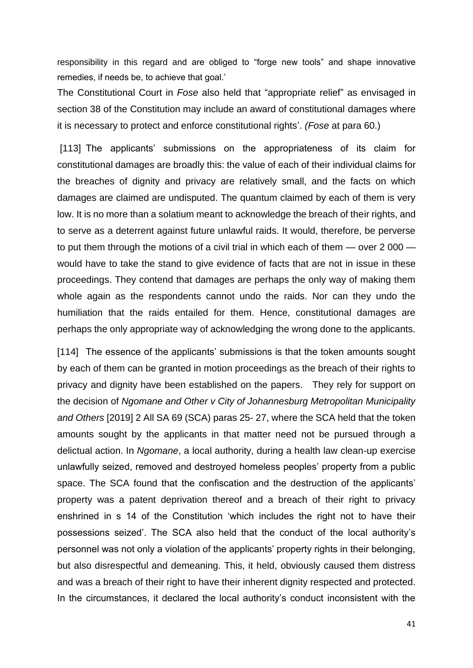responsibility in this regard and are obliged to "forge new tools" and shape innovative remedies, if needs be, to achieve that goal.'

The Constitutional Court in *Fose* also held that "appropriate relief" as envisaged in section 38 of the Constitution may include an award of constitutional damages where it is necessary to protect and enforce constitutional rights'. *(Fose* at para 60.)

[113] The applicants' submissions on the appropriateness of its claim for constitutional damages are broadly this: the value of each of their individual claims for the breaches of dignity and privacy are relatively small, and the facts on which damages are claimed are undisputed. The quantum claimed by each of them is very low. It is no more than a solatium meant to acknowledge the breach of their rights, and to serve as a deterrent against future unlawful raids. It would, therefore, be perverse to put them through the motions of a civil trial in which each of them — over 2 000 would have to take the stand to give evidence of facts that are not in issue in these proceedings. They contend that damages are perhaps the only way of making them whole again as the respondents cannot undo the raids. Nor can they undo the humiliation that the raids entailed for them. Hence, constitutional damages are perhaps the only appropriate way of acknowledging the wrong done to the applicants.

[114] The essence of the applicants' submissions is that the token amounts sought by each of them can be granted in motion proceedings as the breach of their rights to privacy and dignity have been established on the papers. They rely for support on the decision of *Ngomane and Other v City of Johannesburg Metropolitan Municipality and Others* [2019] 2 All SA 69 (SCA) paras 25- 27, where the SCA held that the token amounts sought by the applicants in that matter need not be pursued through a delictual action. In *Ngomane*, a local authority, during a health law clean-up exercise unlawfully seized, removed and destroyed homeless peoples' property from a public space. The SCA found that the confiscation and the destruction of the applicants' property was a patent deprivation thereof and a breach of their right to privacy enshrined in s 14 of the Constitution 'which includes the right not to have their possessions seized'. The SCA also held that the conduct of the local authority's personnel was not only a violation of the applicants' property rights in their belonging, but also disrespectful and demeaning. This, it held, obviously caused them distress and was a breach of their right to have their inherent dignity respected and protected. In the circumstances, it declared the local authority's conduct inconsistent with the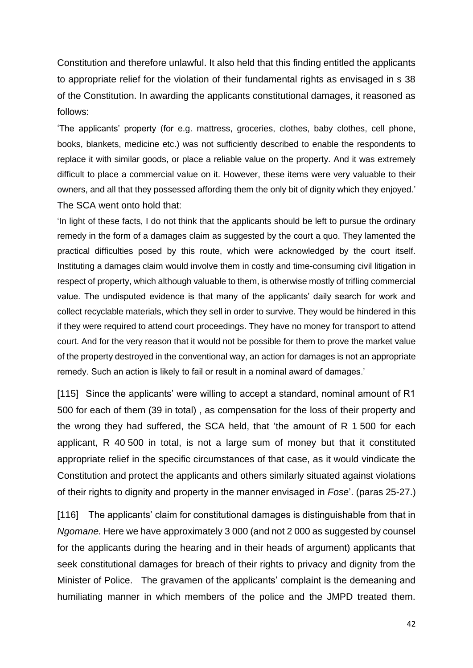Constitution and therefore unlawful. It also held that this finding entitled the applicants to appropriate relief for the violation of their fundamental rights as envisaged in s 38 of the Constitution. In awarding the applicants constitutional damages, it reasoned as follows:

'The applicants' property (for e.g. mattress, groceries, clothes, baby clothes, cell phone, books, blankets, medicine etc.) was not sufficiently described to enable the respondents to replace it with similar goods, or place a reliable value on the property. And it was extremely difficult to place a commercial value on it. However, these items were very valuable to their owners, and all that they possessed affording them the only bit of dignity which they enjoyed.' The SCA went onto hold that:

'In light of these facts, I do not think that the applicants should be left to pursue the ordinary remedy in the form of a damages claim as suggested by the court a quo. They lamented the practical difficulties posed by this route, which were acknowledged by the court itself. Instituting a damages claim would involve them in costly and time-consuming civil litigation in respect of property, which although valuable to them, is otherwise mostly of trifling commercial value. The undisputed evidence is that many of the applicants' daily search for work and collect recyclable materials, which they sell in order to survive. They would be hindered in this if they were required to attend court proceedings. They have no money for transport to attend court. And for the very reason that it would not be possible for them to prove the market value of the property destroyed in the conventional way, an action for damages is not an appropriate remedy. Such an action is likely to fail or result in a nominal award of damages.'

[115] Since the applicants' were willing to accept a standard, nominal amount of R1 500 for each of them (39 in total) , as compensation for the loss of their property and the wrong they had suffered, the SCA held, that 'the amount of R 1 500 for each applicant, R 40 500 in total, is not a large sum of money but that it constituted appropriate relief in the specific circumstances of that case, as it would vindicate the Constitution and protect the applicants and others similarly situated against violations of their rights to dignity and property in the manner envisaged in *Fose*'. (paras 25-27.)

[116] The applicants' claim for constitutional damages is distinguishable from that in *Ngomane.* Here we have approximately 3 000 (and not 2 000 as suggested by counsel for the applicants during the hearing and in their heads of argument) applicants that seek constitutional damages for breach of their rights to privacy and dignity from the Minister of Police. The gravamen of the applicants' complaint is the demeaning and humiliating manner in which members of the police and the JMPD treated them.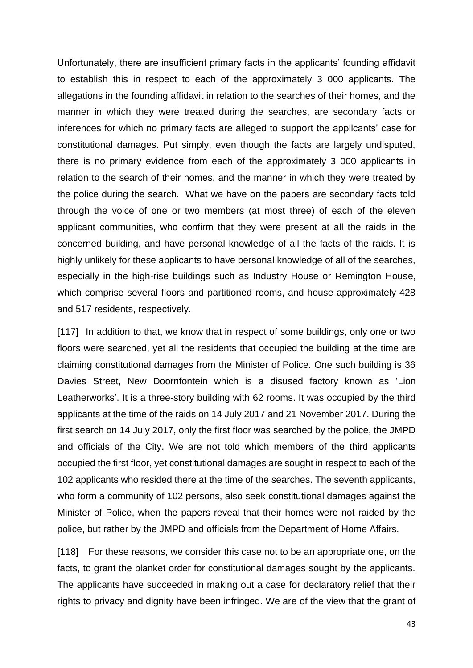Unfortunately, there are insufficient primary facts in the applicants' founding affidavit to establish this in respect to each of the approximately 3 000 applicants. The allegations in the founding affidavit in relation to the searches of their homes, and the manner in which they were treated during the searches, are secondary facts or inferences for which no primary facts are alleged to support the applicants' case for constitutional damages. Put simply, even though the facts are largely undisputed, there is no primary evidence from each of the approximately 3 000 applicants in relation to the search of their homes, and the manner in which they were treated by the police during the search. What we have on the papers are secondary facts told through the voice of one or two members (at most three) of each of the eleven applicant communities, who confirm that they were present at all the raids in the concerned building, and have personal knowledge of all the facts of the raids. It is highly unlikely for these applicants to have personal knowledge of all of the searches, especially in the high-rise buildings such as Industry House or Remington House, which comprise several floors and partitioned rooms, and house approximately 428 and 517 residents, respectively.

[117] In addition to that, we know that in respect of some buildings, only one or two floors were searched, yet all the residents that occupied the building at the time are claiming constitutional damages from the Minister of Police. One such building is 36 Davies Street, New Doornfontein which is a disused factory known as 'Lion Leatherworks'. It is a three-story building with 62 rooms. It was occupied by the third applicants at the time of the raids on 14 July 2017 and 21 November 2017. During the first search on 14 July 2017, only the first floor was searched by the police, the JMPD and officials of the City. We are not told which members of the third applicants occupied the first floor, yet constitutional damages are sought in respect to each of the 102 applicants who resided there at the time of the searches. The seventh applicants, who form a community of 102 persons, also seek constitutional damages against the Minister of Police, when the papers reveal that their homes were not raided by the police, but rather by the JMPD and officials from the Department of Home Affairs.

[118] For these reasons, we consider this case not to be an appropriate one, on the facts, to grant the blanket order for constitutional damages sought by the applicants. The applicants have succeeded in making out a case for declaratory relief that their rights to privacy and dignity have been infringed. We are of the view that the grant of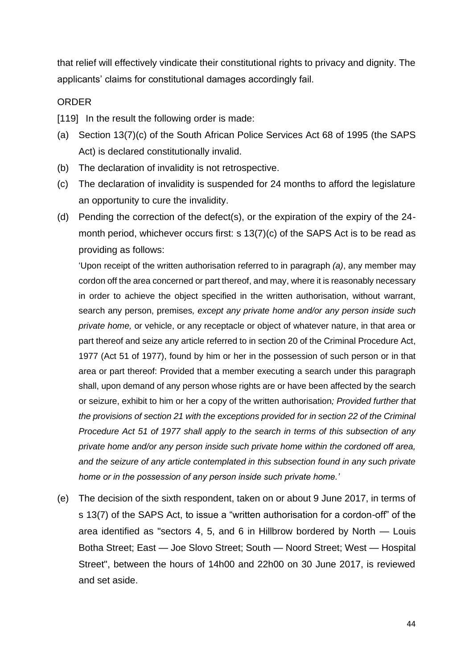that relief will effectively vindicate their constitutional rights to privacy and dignity. The applicants' claims for constitutional damages accordingly fail.

#### ORDER

[119] In the result the following order is made:

- (a) Section 13(7)(c) of the South African Police Services Act 68 of 1995 (the SAPS Act) is declared constitutionally invalid.
- (b) The declaration of invalidity is not retrospective.
- (c) The declaration of invalidity is suspended for 24 months to afford the legislature an opportunity to cure the invalidity.
- (d) Pending the correction of the defect(s), or the expiration of the expiry of the 24 month period, whichever occurs first: s 13(7)(c) of the SAPS Act is to be read as providing as follows:

'Upon receipt of the written authorisation referred to in paragraph *(a)*, any member may cordon off the area concerned or part thereof, and may, where it is reasonably necessary in order to achieve the object specified in the written authorisation, without warrant, search any person, premises*, except any private home and/or any person inside such private home,* or vehicle, or any receptacle or object of whatever nature, in that area or part thereof and seize any article referred to in section 20 of the Criminal Procedure Act, 1977 (Act 51 of 1977), found by him or her in the possession of such person or in that area or part thereof: Provided that a member executing a search under this paragraph shall, upon demand of any person whose rights are or have been affected by the search or seizure, exhibit to him or her a copy of the written authorisation*; Provided further that the provisions of section 21 with the exceptions provided for in section 22 of the Criminal Procedure Act 51 of 1977 shall apply to the search in terms of this subsection of any private home and/or any person inside such private home within the cordoned off area, and the seizure of any article contemplated in this subsection found in any such private home or in the possession of any person inside such private home.'* 

(e) The decision of the sixth respondent, taken on or about 9 June 2017, in terms of s 13(7) of the SAPS Act, to issue a "written authorisation for a cordon-off" of the area identified as "sectors 4, 5, and 6 in Hillbrow bordered by North — Louis Botha Street; East — Joe Slovo Street; South — Noord Street; West — Hospital Street", between the hours of 14h00 and 22h00 on 30 June 2017, is reviewed and set aside.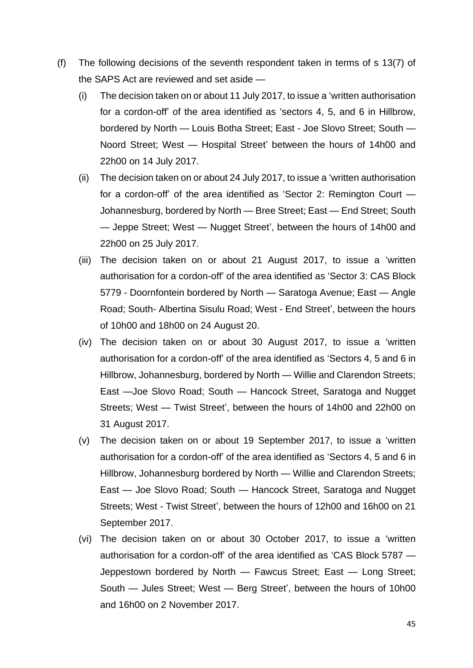- (f) The following decisions of the seventh respondent taken in terms of s 13(7) of the SAPS Act are reviewed and set aside —
	- (i) The decision taken on or about 11 July 2017, to issue a 'written authorisation for a cordon-off' of the area identified as 'sectors 4, 5, and 6 in Hillbrow, bordered by North — Louis Botha Street; East - Joe Slovo Street; South — Noord Street; West — Hospital Street' between the hours of 14h00 and 22h00 on 14 July 2017.
	- (ii) The decision taken on or about 24 July 2017, to issue a 'written authorisation for a cordon-off' of the area identified as 'Sector 2: Remington Court — Johannesburg, bordered by North — Bree Street; East — End Street; South — Jeppe Street; West — Nugget Street', between the hours of 14h00 and 22h00 on 25 July 2017.
	- (iii) The decision taken on or about 21 August 2017, to issue a 'written authorisation for a cordon-off' of the area identified as 'Sector 3: CAS Block 5779 - Doornfontein bordered by North — Saratoga Avenue; East — Angle Road; South- Albertina Sisulu Road; West - End Street', between the hours of 10h00 and 18h00 on 24 August 20.
	- (iv) The decision taken on or about 30 August 2017, to issue a 'written authorisation for a cordon-off' of the area identified as 'Sectors 4, 5 and 6 in Hillbrow, Johannesburg, bordered by North — Willie and Clarendon Streets; East —Joe Slovo Road; South — Hancock Street, Saratoga and Nugget Streets; West — Twist Street', between the hours of 14h00 and 22h00 on 31 August 2017.
	- (v) The decision taken on or about 19 September 2017, to issue a 'written authorisation for a cordon-off' of the area identified as 'Sectors 4, 5 and 6 in Hillbrow, Johannesburg bordered by North — Willie and Clarendon Streets; East — Joe Slovo Road; South — Hancock Street, Saratoga and Nugget Streets; West - Twist Street', between the hours of 12h00 and 16h00 on 21 September 2017.
	- (vi) The decision taken on or about 30 October 2017, to issue a 'written authorisation for a cordon-off' of the area identified as 'CAS Block 5787 — Jeppestown bordered by North — Fawcus Street; East — Long Street; South — Jules Street; West — Berg Street', between the hours of 10h00 and 16h00 on 2 November 2017.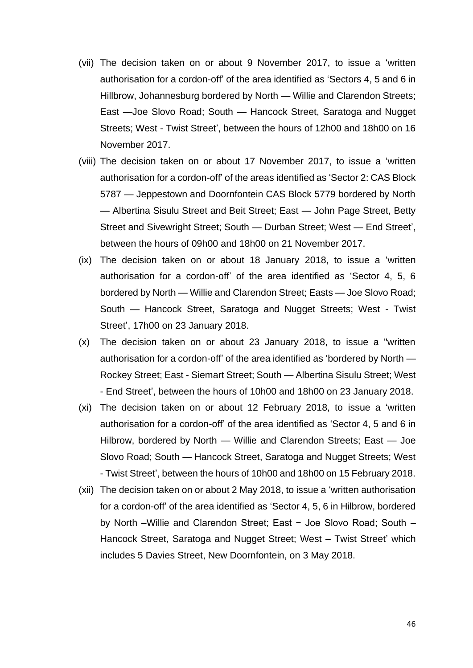- (vii) The decision taken on or about 9 November 2017, to issue a 'written authorisation for a cordon-off' of the area identified as 'Sectors 4, 5 and 6 in Hillbrow, Johannesburg bordered by North — Willie and Clarendon Streets; East —Joe Slovo Road; South — Hancock Street, Saratoga and Nugget Streets; West - Twist Street', between the hours of 12h00 and 18h00 on 16 November 2017.
- (viii) The decision taken on or about 17 November 2017, to issue a 'written authorisation for a cordon-off' of the areas identified as 'Sector 2: CAS Block 5787 — Jeppestown and Doornfontein CAS Block 5779 bordered by North — Albertina Sisulu Street and Beit Street; East — John Page Street, Betty Street and Sivewright Street; South — Durban Street; West — End Street', between the hours of 09h00 and 18h00 on 21 November 2017.
- (ix) The decision taken on or about 18 January 2018, to issue a 'written authorisation for a cordon-off' of the area identified as 'Sector 4, 5, 6 bordered by North — Willie and Clarendon Street; Easts — Joe Slovo Road; South — Hancock Street, Saratoga and Nugget Streets; West - Twist Street', 17h00 on 23 January 2018.
- (x) The decision taken on or about 23 January 2018, to issue a "written authorisation for a cordon-off' of the area identified as 'bordered by North — Rockey Street; East - Siemart Street; South — Albertina Sisulu Street; West - End Street', between the hours of 10h00 and 18h00 on 23 January 2018.
- (xi) The decision taken on or about 12 February 2018, to issue a 'written authorisation for a cordon-off' of the area identified as 'Sector 4, 5 and 6 in Hilbrow, bordered by North — Willie and Clarendon Streets; East — Joe Slovo Road; South — Hancock Street, Saratoga and Nugget Streets; West - Twist Street', between the hours of 10h00 and 18h00 on 15 February 2018.
- (xii) The decision taken on or about 2 May 2018, to issue a 'written authorisation for a cordon-off' of the area identified as 'Sector 4, 5, 6 in Hilbrow, bordered by North –Willie and Clarendon Street; East − Joe Slovo Road; South – Hancock Street, Saratoga and Nugget Street; West – Twist Street' which includes 5 Davies Street, New Doornfontein, on 3 May 2018.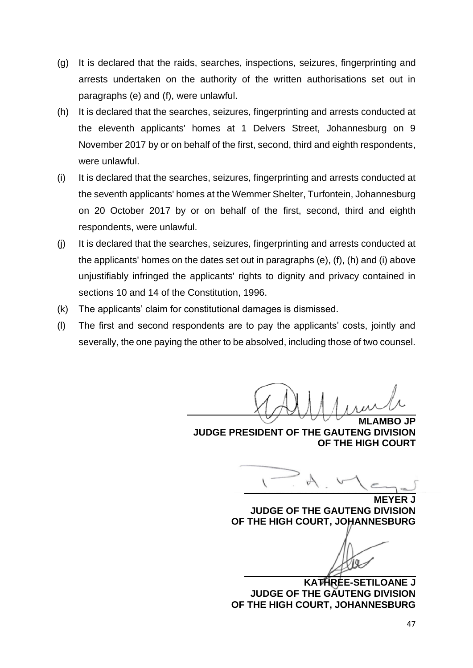- (g) It is declared that the raids, searches, inspections, seizures, fingerprinting and arrests undertaken on the authority of the written authorisations set out in paragraphs (e) and (f), were unlawful.
- (h) It is declared that the searches, seizures, fingerprinting and arrests conducted at the eleventh applicants' homes at 1 Delvers Street, Johannesburg on 9 November 2017 by or on behalf of the first, second, third and eighth respondents, were unlawful.
- (i) It is declared that the searches, seizures, fingerprinting and arrests conducted at the seventh applicants' homes at the Wemmer Shelter, Turfontein, Johannesburg on 20 October 2017 by or on behalf of the first, second, third and eighth respondents, were unlawful.
- (j) It is declared that the searches, seizures, fingerprinting and arrests conducted at the applicants' homes on the dates set out in paragraphs (e), (f), (h) and (i) above unjustifiably infringed the applicants' rights to dignity and privacy contained in sections 10 and 14 of the Constitution, 1996.
- (k) The applicants' claim for constitutional damages is dismissed.
- (l) The first and second respondents are to pay the applicants' costs, jointly and severally, the one paying the other to be absolved, including those of two counsel.

**MLAMBO JP JUDGE PRESIDENT OF THE GAUTENG DIVISION OF THE HIGH COURT**

**MEYF JUDGE OF THE GAUTENG DIVISION OF THE HIGH COURT, JOHANNESBURG**

**KATHREE-SETILOANE J JUDGE OF THE GAUTENG DIVISION OF THE HIGH COURT, JOHANNESBURG**